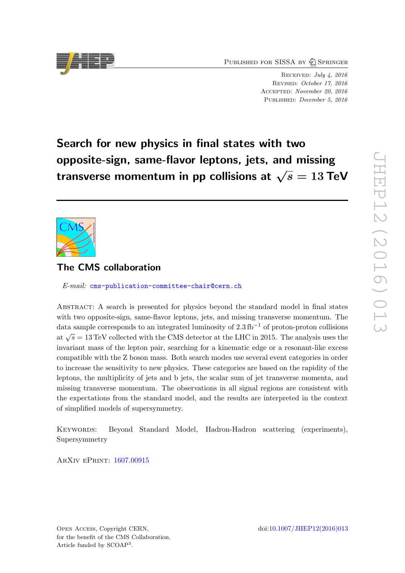PUBLISHED FOR SISSA BY 2 SPRINGER

Received: July 4, 2016 Revised: October 17, 2016 Accepted: November 20, 2016 PUBLISHED: *December 5, 2016* 

Search for new physics in final states with two opposite-sign, same-flavor leptons, jets, and missing transverse momentum in pp collisions at  $\sqrt{s} = 13$  TeV



## The CMS collaboration

E-mail: [cms-publication-committee-chair@cern.ch](mailto:cms-publication-committee-chair@cern.ch)

Abstract: A search is presented for physics beyond the standard model in final states with two opposite-sign, same-flavor leptons, jets, and missing transverse momentum. The data sample corresponds to an integrated luminosity of  $2.3 \text{ fb}^{-1}$  of proton-proton collisions at  $\sqrt{s} = 13 \text{ TeV}$  collected with the CMS detector at the LHC in 2015. The analysis uses the invariant mass of the lepton pair, searching for a kinematic edge or a resonant-like excess compatible with the Z boson mass. Both search modes use several event categories in order to increase the sensitivity to new physics. These categories are based on the rapidity of the leptons, the multiplicity of jets and b jets, the scalar sum of jet transverse momenta, and missing transverse momentum. The observations in all signal regions are consistent with the expectations from the standard model, and the results are interpreted in the context of simplified models of supersymmetry.

Keywords: Beyond Standard Model, Hadron-Hadron scattering (experiments), Supersymmetry

ArXiv ePrint: [1607.00915](https://arxiv.org/abs/1607.00915)

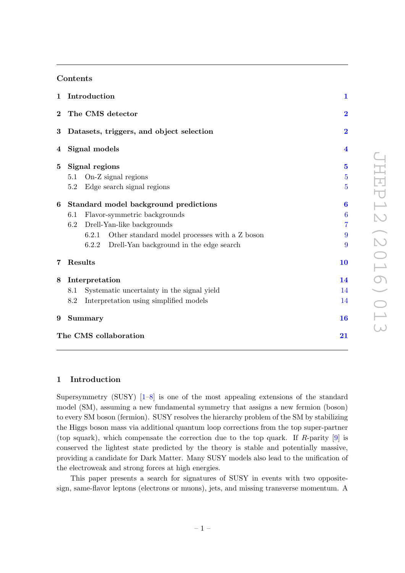## Contents

|                | 1 Introduction                                         |                         |  |  |
|----------------|--------------------------------------------------------|-------------------------|--|--|
| $\overline{2}$ | The CMS detector                                       |                         |  |  |
| 3              | Datasets, triggers, and object selection               | $\overline{2}$          |  |  |
| 4              | Signal models                                          | $\overline{\mathbf{4}}$ |  |  |
| 5              | Signal regions                                         | $\overline{5}$          |  |  |
|                | On-Z signal regions<br>5.1                             | $\overline{5}$          |  |  |
|                | 5.2<br>Edge search signal regions                      | 5                       |  |  |
| 6              | Standard model background predictions                  | $\bf{6}$                |  |  |
|                | Flavor-symmetric backgrounds<br>6.1                    | $\boldsymbol{6}$        |  |  |
|                | Drell-Yan-like backgrounds<br>6.2                      | 7                       |  |  |
|                | Other standard model processes with a Z boson<br>6.2.1 | 9                       |  |  |
|                | Drell-Yan background in the edge search<br>6.2.2       | 9                       |  |  |
| 7              | Results                                                | 10                      |  |  |
| 8              | Interpretation                                         | 14                      |  |  |
|                | Systematic uncertainty in the signal yield<br>8.1      | 14                      |  |  |
|                | Interpretation using simplified models<br>8.2          | 14                      |  |  |
| 9              | Summary                                                | 16                      |  |  |
|                | The CMS collaboration                                  | $\overline{21}$         |  |  |
|                |                                                        |                         |  |  |

## <span id="page-1-0"></span>1 Introduction

Supersymmetry (SUSY) [\[1–](#page-18-0)[8\]](#page-18-1) is one of the most appealing extensions of the standard model (SM), assuming a new fundamental symmetry that assigns a new fermion (boson) to every SM boson (fermion). SUSY resolves the hierarchy problem of the SM by stabilizing the Higgs boson mass via additional quantum loop corrections from the top super-partner (top squark), which compensate the correction due to the top quark. If R-parity [\[9\]](#page-18-2) is conserved the lightest state predicted by the theory is stable and potentially massive, providing a candidate for Dark Matter. Many SUSY models also lead to the unification of the electroweak and strong forces at high energies.

This paper presents a search for signatures of SUSY in events with two oppositesign, same-flavor leptons (electrons or muons), jets, and missing transverse momentum. A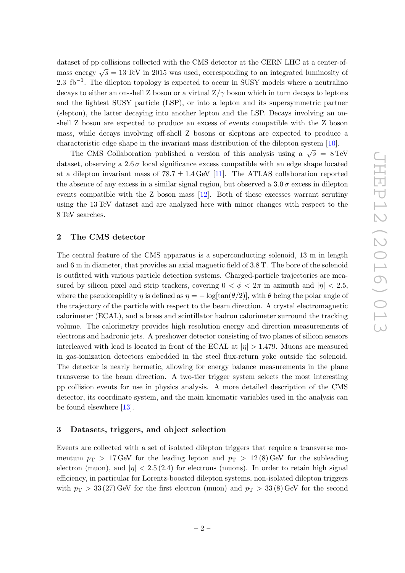dataset of pp collisions collected with the CMS detector at the CERN LHC at a center-ofmass energy  $\sqrt{s} = 13$  TeV in 2015 was used, corresponding to an integrated luminosity of 2.3  $\text{fb}^{-1}$ . The dilepton topology is expected to occur in SUSY models where a neutralino decays to either an on-shell Z boson or a virtual  $Z/\gamma$  boson which in turn decays to leptons and the lightest SUSY particle (LSP), or into a lepton and its supersymmetric partner (slepton), the latter decaying into another lepton and the LSP. Decays involving an onshell Z boson are expected to produce an excess of events compatible with the Z boson mass, while decays involving off-shell Z bosons or sleptons are expected to produce a characteristic edge shape in the invariant mass distribution of the dilepton system [\[10\]](#page-18-3).

The CMS Collaboration published a version of this analysis using a  $\sqrt{s} = 8 \text{ TeV}$ dataset, observing a  $2.6\sigma$  local significance excess compatible with an edge shape located at a dilepton invariant mass of  $78.7 \pm 1.4 \,\text{GeV}$  [\[11\]](#page-18-4). The ATLAS collaboration reported the absence of any excess in a similar signal region, but observed a  $3.0\sigma$  excess in dilepton events compatible with the Z boson mass [\[12\]](#page-18-5). Both of these excesses warrant scrutiny using the 13 TeV dataset and are analyzed here with minor changes with respect to the 8 TeV searches.

## <span id="page-2-0"></span>2 The CMS detector

The central feature of the CMS apparatus is a superconducting solenoid, 13 m in length and 6 m in diameter, that provides an axial magnetic field of 3.8 T. The bore of the solenoid is outfitted with various particle detection systems. Charged-particle trajectories are measured by silicon pixel and strip trackers, covering  $0 < \phi < 2\pi$  in azimuth and  $|\eta| < 2.5$ , where the pseudorapidity  $\eta$  is defined as  $\eta = -\log[\tan(\theta/2)]$ , with  $\theta$  being the polar angle of the trajectory of the particle with respect to the beam direction. A crystal electromagnetic calorimeter (ECAL), and a brass and scintillator hadron calorimeter surround the tracking volume. The calorimetry provides high resolution energy and direction measurements of electrons and hadronic jets. A preshower detector consisting of two planes of silicon sensors interleaved with lead is located in front of the ECAL at  $|\eta| > 1.479$ . Muons are measured in gas-ionization detectors embedded in the steel flux-return yoke outside the solenoid. The detector is nearly hermetic, allowing for energy balance measurements in the plane transverse to the beam direction. A two-tier trigger system selects the most interesting pp collision events for use in physics analysis. A more detailed description of the CMS detector, its coordinate system, and the main kinematic variables used in the analysis can be found elsewhere [\[13\]](#page-18-6).

#### <span id="page-2-1"></span>3 Datasets, triggers, and object selection

Events are collected with a set of isolated dilepton triggers that require a transverse momentum  $p_T > 17 \text{ GeV}$  for the leading lepton and  $p_T > 12(8) \text{ GeV}$  for the subleading electron (muon), and  $|\eta| < 2.5 (2.4)$  for electrons (muons). In order to retain high signal efficiency, in particular for Lorentz-boosted dilepton systems, non-isolated dilepton triggers with  $p_T > 33(27)$  GeV for the first electron (muon) and  $p_T > 33(8)$  GeV for the second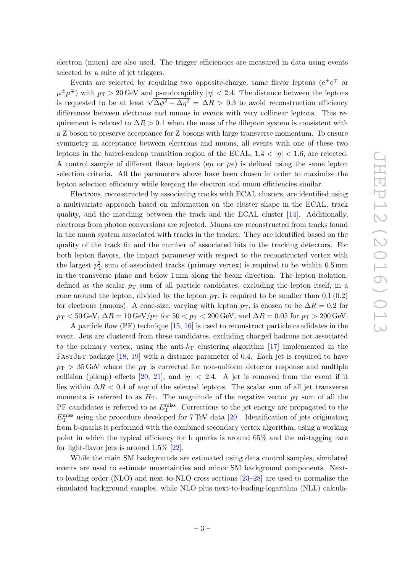electron (muon) are also used. The trigger efficiencies are measured in data using events selected by a suite of jet triggers.

Events are selected by requiring two opposite-charge, same flavor leptons  $(e^{\pm}e^{\mp}$  or  $\mu^{\pm}\mu^{\mp}$ ) with  $p_T > 20$  GeV and pseudorapidity  $|\eta| < 2.4$ . The distance between the leptons  $\mu^-\mu^+$ ) with  $p_T >$  20 GeV and pseudorapidity  $|\eta| <$  2.4. The distance between the reptons<br>is requested to be at least  $\sqrt{\Delta\phi^2 + \Delta\eta^2} = \Delta R > 0.3$  to avoid reconstruction efficiency differences between electrons and muons in events with very collinear leptons. This requirement is relaxed to  $\Delta R > 0.1$  when the mass of the dilepton system is consistent with a Z boson to preserve acceptance for Z bosons with large transverse momentum. To ensure symmetry in acceptance between electrons and muons, all events with one of these two leptons in the barrel-endcap transition region of the ECAL,  $1.4 < |\eta| < 1.6$ , are rejected. A control sample of different flavor leptons (e<sub>H</sub> or  $\mu$ e) is defined using the same lepton selection criteria. All the parameters above have been chosen in order to maximize the lepton selection efficiency while keeping the electron and muon efficiencies similar.

Electrons, reconstructed by associating tracks with ECAL clusters, are identified using a multivariate approach based on information on the cluster shape in the ECAL, track quality, and the matching between the track and the ECAL cluster [\[14\]](#page-18-7). Additionally, electrons from photon conversions are rejected. Muons are reconstructed from tracks found in the muon system associated with tracks in the tracker. They are identified based on the quality of the track fit and the number of associated hits in the tracking detectors. For both lepton flavors, the impact parameter with respect to the reconstructed vertex with the largest  $p_T^2$  sum of associated tracks (primary vertex) is required to be within 0.5 mm in the transverse plane and below 1 mm along the beam direction. The lepton isolation, defined as the scalar  $p<sub>T</sub>$  sum of all particle candidates, excluding the lepton itself, in a cone around the lepton, divided by the lepton  $p<sub>T</sub>$ , is required to be smaller than 0.1 (0.2) for electrons (muons). A cone-size, varying with lepton  $p<sub>T</sub>$ , is chosen to be  $\Delta R = 0.2$  for  $p_{\rm T}$  < 50 GeV,  $\Delta R = 10$  GeV/ $p_{\rm T}$  for 50 <  $p_{\rm T}$  < 200 GeV, and  $\Delta R = 0.05$  for  $p_{\rm T} > 200$  GeV.

A particle flow (PF) technique [\[15,](#page-19-0) [16\]](#page-19-1) is used to reconstruct particle candidates in the event. Jets are clustered from these candidates, excluding charged hadrons not associated to the primary vertex, using the anti- $k<sub>T</sub>$  clustering algorithm [\[17\]](#page-19-2) implemented in the FASTJET package [\[18,](#page-19-3) [19\]](#page-19-4) with a distance parameter of 0.4. Each jet is required to have  $p_{\rm T} > 35$  GeV where the  $p_{\rm T}$  is corrected for non-uniform detector response and multiple collision (pileup) effects [\[20,](#page-19-5) [21\]](#page-19-6), and  $|\eta| < 2.4$ . A jet is removed from the event if it lies within  $\Delta R$  < 0.4 of any of the selected leptons. The scalar sum of all jet transverse momenta is referred to as  $H<sub>T</sub>$ . The magnitude of the negative vector  $p<sub>T</sub>$  sum of all the PF candidates is referred to as  $E_{\rm T}^{\rm miss}$ . Corrections to the jet energy are propagated to the  $E_{\rm T}^{\rm miss}$  using the procedure developed for 7 TeV data [\[20\]](#page-19-5). Identification of jets originating from b-quarks is performed with the combined secondary vertex algorithm, using a working point in which the typical efficiency for b quarks is around 65% and the mistagging rate for light-flavor jets is around 1.5% [\[22\]](#page-19-7).

While the main SM backgrounds are estimated using data control samples, simulated events are used to estimate uncertainties and minor SM background components. Nextto-leading order (NLO) and next-to-NLO cross sections [\[23](#page-19-8)[–28\]](#page-19-9) are used to normalize the simulated background samples, while NLO plus next-to-leading-logarithm (NLL) calcula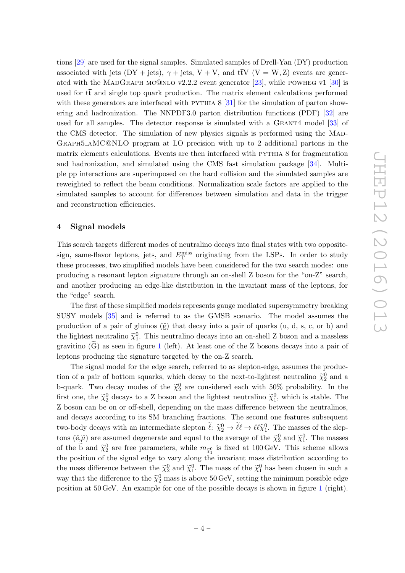tions [\[29\]](#page-19-10) are used for the signal samples. Simulated samples of Drell-Yan (DY) production associated with jets  $(DY + jets)$ ,  $\gamma$  + jets, V + V, and ttv (V = W, Z) events are gener-ated with the MADGRAPH MC@NLO v2.2.2 event generator [\[23\]](#page-19-8), while POWHEG v1 [\[30\]](#page-19-11) is used for  $t\bar{t}$  and single top quark production. The matrix element calculations performed with these generators are interfaced with PYTHIA  $8 \binom{31}{3}$  for the simulation of parton showering and hadronization. The NNPDF3.0 parton distribution functions (PDF) [\[32\]](#page-19-13) are used for all samples. The detector response is simulated with a GEANT4 model [\[33\]](#page-19-14) of the CMS detector. The simulation of new physics signals is performed using the MAD-Graph5 aMC@NLO program at LO precision with up to 2 additional partons in the matrix elements calculations. Events are then interfaced with PYTHIA 8 for fragmentation and hadronization, and simulated using the CMS fast simulation package [\[34\]](#page-20-0). Multiple pp interactions are superimposed on the hard collision and the simulated samples are reweighted to reflect the beam conditions. Normalization scale factors are applied to the simulated samples to account for differences between simulation and data in the trigger and reconstruction efficiencies.

## <span id="page-4-0"></span>4 Signal models

This search targets different modes of neutralino decays into final states with two oppositesign, same-flavor leptons, jets, and  $E_{\rm T}^{\rm miss}$  originating from the LSPs. In order to study these processes, two simplified models have been considered for the two search modes: one producing a resonant lepton signature through an on-shell Z boson for the "on-Z" search, and another producing an edge-like distribution in the invariant mass of the leptons, for the "edge" search.

The first of these simplified models represents gauge mediated supersymmetry breaking SUSY models [\[35\]](#page-20-1) and is referred to as the GMSB scenario. The model assumes the production of a pair of gluinos  $(\tilde{g})$  that decay into a pair of quarks (u, d, s, c, or b) and the lightest neutralino  $\tilde{\chi}_1^0$ . This neutralino decays into an on-shell Z boson and a massless gravitino  $(G)$  as seen in figure [1](#page-5-3) (left). At least one of the Z bosons decays into a pair of leptons producing the signature targeted by the on-Z search.

The signal model for the edge search, referred to as slepton-edge, assumes the production of a pair of bottom squarks, which decay to the next-to-lightest neutralino  $\tilde{\chi}_2^0$  and a b-quark. Two decay modes of the  $\tilde{\chi}_2^0$  are considered each with 50% probability. In the first one, the  $\tilde{\chi}^0_2$  decays to a Z boson and the lightest neutralino  $\tilde{\chi}^0_1$ , which is stable. The Z boson can be on or off-shell, depending on the mass difference between the neutralinos, and decays according to its SM branching fractions. The second one features subsequent two-body decays with an intermediate slepton  $\tilde{\ell}: \tilde{\chi}_2^0 \to \tilde{\ell}\ell \to \ell\ell\tilde{\chi}_1^0$ . The masses of the slep-<br> $\tilde{\ell}: \tilde{\chi}_2^0 \to \tilde{\ell}\ell \to \ell\ell\tilde{\chi}_1^0$ . The masses of the sleptons  $(\tilde{e}, \tilde{\mu})$  are assumed degenerate and equal to the average of the  $\tilde{\chi}_2^0$  and  $\tilde{\chi}_1^0$ . The masses of the  $\tilde{b}$  and  $\tilde{\chi}_2^0$  are free parameters, while  $m_{\tilde{\chi}_1^0}$  is fixed at 100 GeV. This scheme allows the position of the signal edge to vary along the invariant mass distribution according to the mass difference between the  $\tilde{\chi}_2^0$  and  $\tilde{\chi}_1^0$ . The mass of the  $\tilde{\chi}_1^0$  has been chosen in such a way that the difference to the  $\tilde{\chi}_2^0$  mass is above 50 GeV, setting the minimum possible edge position at 50 GeV. An example for one of the possible decays is shown in figure [1](#page-5-3) (right).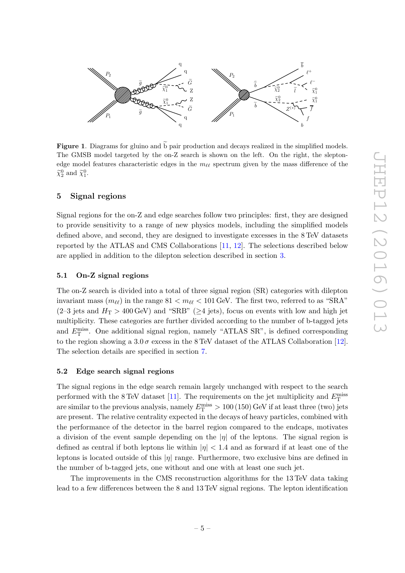

<span id="page-5-3"></span>**Figure 1.** Diagrams for gluino and  $\tilde{b}$  pair production and decays realized in the simplified models. The GMSB model targeted by the on-Z search is shown on the left. On the right, the sleptonedge model features characteristic edges in the  $m_{\ell\ell}$  spectrum given by the mass difference of the  $\widetilde{\chi}_2^0$  and  $\widetilde{\chi}_1^0$ .

## <span id="page-5-0"></span>5 Signal regions

Signal regions for the on-Z and edge searches follow two principles: first, they are designed to provide sensitivity to a range of new physics models, including the simplified models defined above, and second, they are designed to investigate excesses in the 8 TeV datasets reported by the ATLAS and CMS Collaborations [\[11,](#page-18-4) [12\]](#page-18-5). The selections described below are applied in addition to the dilepton selection described in section [3.](#page-2-1)

## <span id="page-5-1"></span>5.1 On-Z signal regions

The on-Z search is divided into a total of three signal region (SR) categories with dilepton invariant mass  $(m_{\ell\ell})$  in the range  $81 < m_{\ell\ell} < 101$  GeV. The first two, referred to as "SRA" (2–3 jets and  $H_T > 400 \text{ GeV}$ ) and "SRB" ( $\geq 4$  jets), focus on events with low and high jet multiplicity. These categories are further divided according to the number of b-tagged jets and  $E_{\rm T}^{\rm miss}$ . One additional signal region, namely "ATLAS SR", is defined corresponding to the region showing a  $3.0\sigma$  excess in the 8 TeV dataset of the ATLAS Collaboration [\[12\]](#page-18-5). The selection details are specified in section [7.](#page-10-0)

#### <span id="page-5-2"></span>5.2 Edge search signal regions

The signal regions in the edge search remain largely unchanged with respect to the search performed with the 8 TeV dataset [\[11\]](#page-18-4). The requirements on the jet multiplicity and  $E_{\rm T}^{\rm miss}$ are similar to the previous analysis, namely  $E_{\rm T}^{\rm miss} > 100\,(150)\,\text{GeV}$  if at least three (two) jets are present. The relative centrality expected in the decays of heavy particles, combined with the performance of the detector in the barrel region compared to the endcaps, motivates a division of the event sample depending on the  $|\eta|$  of the leptons. The signal region is defined as central if both leptons lie within  $|\eta|$  < 1.4 and as forward if at least one of the leptons is located outside of this  $|\eta|$  range. Furthermore, two exclusive bins are defined in the number of b-tagged jets, one without and one with at least one such jet.

The improvements in the CMS reconstruction algorithms for the 13 TeV data taking lead to a few differences between the 8 and 13 TeV signal regions. The lepton identification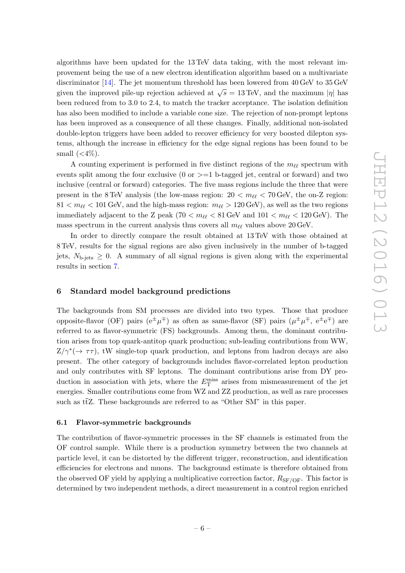algorithms have been updated for the 13 TeV data taking, with the most relevant improvement being the use of a new electron identification algorithm based on a multivariate discriminator [\[14\]](#page-18-7). The jet momentum threshold has been lowered from 40 GeV to 35 GeV given the improved pile-up rejection achieved at  $\sqrt{s} = 13$  TeV, and the maximum  $|\eta|$  has been reduced from to 3.0 to 2.4, to match the tracker acceptance. The isolation definition has also been modified to include a variable cone size. The rejection of non-prompt leptons has been improved as a consequence of all these changes. Finally, additional non-isolated double-lepton triggers have been added to recover efficiency for very boosted dilepton systems, although the increase in efficiency for the edge signal regions has been found to be small  $( $4\%$ ).$ 

A counting experiment is performed in five distinct regions of the  $m_{\ell\ell}$  spectrum with events split among the four exclusive  $(0 \text{ or } \geq 1)$  b-tagged jet, central or forward) and two inclusive (central or forward) categories. The five mass regions include the three that were present in the 8 TeV analysis (the low-mass region:  $20 < m_{\ell\ell} < 70$  GeV, the on-Z region:  $81 < m_{\ell\ell} < 101$  GeV, and the high-mass region:  $m_{\ell\ell} > 120$  GeV), as well as the two regions immediately adjacent to the Z peak (70  $< m_{\ell\ell} < 81$  GeV and  $101 < m_{\ell\ell} < 120$  GeV). The mass spectrum in the current analysis thus covers all  $m_{\ell\ell}$  values above 20 GeV.

In order to directly compare the result obtained at 13 TeV with those obtained at 8 TeV, results for the signal regions are also given inclusively in the number of b-tagged jets,  $N_{\text{b-jets}} \geq 0$ . A summary of all signal regions is given along with the experimental results in section [7.](#page-10-0)

#### <span id="page-6-0"></span>6 Standard model background predictions

The backgrounds from SM processes are divided into two types. Those that produce opposite-flavor (OF) pairs  $(e^{\pm}\mu^{\mp})$  as often as same-flavor (SF) pairs  $(\mu^{\pm}\mu^{\mp}, e^{\pm}e^{\mp})$  are referred to as flavor-symmetric (FS) backgrounds. Among them, the dominant contribution arises from top quark-antitop quark production; sub-leading contributions from WW,  $Z/\gamma^*(\rightarrow \tau\tau)$ , tW single-top quark production, and leptons from hadron decays are also present. The other category of backgrounds includes flavor-correlated lepton production and only contributes with SF leptons. The dominant contributions arise from DY production in association with jets, where the  $E_{\rm T}^{\rm miss}$  arises from mismeasurement of the jet energies. Smaller contributions come from WZ and ZZ production, as well as rare processes such as tt $\overline{z}$ . These backgrounds are referred to as "Other SM" in this paper.

#### <span id="page-6-1"></span>6.1 Flavor-symmetric backgrounds

The contribution of flavor-symmetric processes in the SF channels is estimated from the OF control sample. While there is a production symmetry between the two channels at particle level, it can be distorted by the different trigger, reconstruction, and identification efficiencies for electrons and muons. The background estimate is therefore obtained from the observed OF yield by applying a multiplicative correction factor,  $R_{SF/OF}$ . This factor is determined by two independent methods, a direct measurement in a control region enriched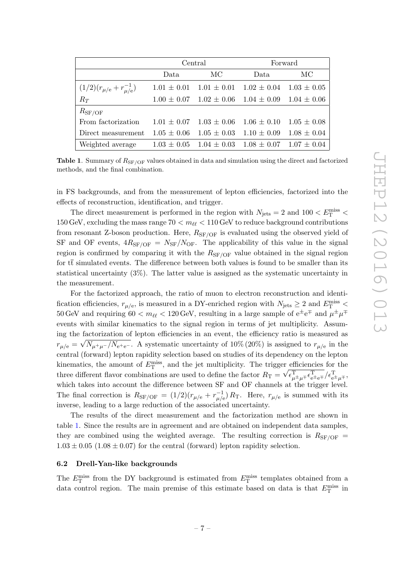|                                               | Central         |                                                 |                                                                 | Forward         |
|-----------------------------------------------|-----------------|-------------------------------------------------|-----------------------------------------------------------------|-----------------|
|                                               | Data            | МC                                              | Data                                                            | МC              |
| $(1/2)(r_{\mu/{\rm e}}+r_{\mu/{\rm e}}^{-1})$ |                 | $1.01 \pm 0.01$ $1.01 \pm 0.01$                 | $1.02 \pm 0.04$                                                 | $1.03 \pm 0.05$ |
| $R_T$                                         |                 |                                                 | $1.00 \pm 0.07$ $1.02 \pm 0.06$ $1.04 \pm 0.09$ $1.04 \pm 0.06$ |                 |
| $R_{\rm SF/OF}$                               |                 |                                                 |                                                                 |                 |
| From factorization                            |                 | $1.01 \pm 0.07$ $1.03 \pm 0.06$ $1.06 \pm 0.10$ |                                                                 | $1.05 \pm 0.08$ |
| Direct measurement                            | $1.05 \pm 0.06$ | $1.05 \pm 0.03$                                 | $1.10 \pm 0.09$                                                 | $1.08 \pm 0.04$ |
| Weighted average                              |                 | $1.03 \pm 0.05$ $1.04 \pm 0.03$                 | $1.08 \pm 0.07$ $1.07 \pm 0.04$                                 |                 |

<span id="page-7-1"></span>**Table 1.** Summary of  $R_{\rm SF/OF}$  values obtained in data and simulation using the direct and factorized methods, and the final combination.

in FS backgrounds, and from the measurement of lepton efficiencies, factorized into the effects of reconstruction, identification, and trigger.

The direct measurement is performed in the region with  $N_{\text{jets}} = 2$  and  $100 < E_{\text{T}}^{\text{miss}}$ 150 GeV, excluding the mass range 70  $< m_{\ell\ell} < 110$  GeV to reduce background contributions from resonant Z-boson production. Here,  $R_{SF/OF}$  is evaluated using the observed yield of SF and OF events,  $4R_{\rm SF/OF} = N_{\rm SF}/N_{\rm OF}$ . The applicability of this value in the signal region is confirmed by comparing it with the  $R_{\rm SF/OF}$  value obtained in the signal region for  $t\bar{t}$  simulated events. The difference between both values is found to be smaller than its statistical uncertainty (3%). The latter value is assigned as the systematic uncertainty in the measurement.

For the factorized approach, the ratio of muon to electron reconstruction and identification efficiencies,  $r_{\mu/e}$ , is measured in a DY-enriched region with  $N_{\text{jets}} \ge 2$  and  $E_{\text{T}}^{\text{miss}}$ 50 GeV and requiring  $60 < m_{\ell\ell} < 120$  GeV, resulting in a large sample of  $e^{\pm}e^{\mp}$  and  $\mu^{\pm}\mu^{\mp}$ events with similar kinematics to the signal region in terms of jet multiplicity. Assuming the factorization of lepton efficiencies in an event, the efficiency ratio is measured as √  $r_{\mu/e} = \sqrt{N_{\mu^+\mu^-}}/N_{\rm e^+e^-}$ . A systematic uncertainty of 10% (20%) is assigned to  $r_{\mu/e}$  in the central (forward) lepton rapidity selection based on studies of its dependency on the lepton kinematics, the amount of  $E_{\rm T}^{\rm miss}$ , and the jet multiplicity. The trigger efficiencies for the three different flavor combinations are used to define the factor  $R_{\rm T}=\sqrt{\epsilon_{\mu^{\pm}}^{\rm T}\mu^{\mp}}\epsilon_{\rm e^{\pm}e^{\mp}}^{\rm T}/\epsilon_{\rm e^{\pm}\mu^{\mp}}^{\rm T}$ which takes into account the difference between SF and OF channels at the trigger level. The final correction is  $R_{\rm SF/OF} = (1/2)(r_{\mu/e} + r_{\mu/e}^{-1})$  $\binom{-1}{\mu/e}R_{\rm T}$ . Here,  $r_{\mu/e}$  is summed with its inverse, leading to a large reduction of the associated uncertainty.

The results of the direct measurement and the factorization method are shown in table [1.](#page-7-1) Since the results are in agreement and are obtained on independent data samples, they are combined using the weighted average. The resulting correction is  $R_{\rm SF/OF}$  =  $1.03 \pm 0.05$  (1.08  $\pm$  0.07) for the central (forward) lepton rapidity selection.

#### <span id="page-7-0"></span>6.2 Drell-Yan-like backgrounds

The  $E_{\rm T}^{\rm miss}$  from the DY background is estimated from  $E_{\rm T}^{\rm miss}$  templates obtained from a data control region. The main premise of this estimate based on data is that  $E_{\rm T}^{\rm miss}$  in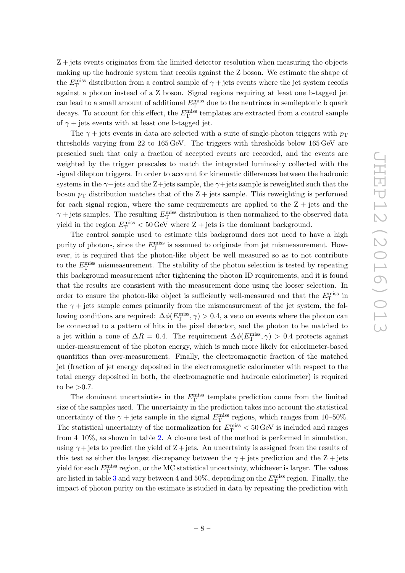$Z +$  jets events originates from the limited detector resolution when measuring the objects making up the hadronic system that recoils against the Z boson. We estimate the shape of the  $E_{\rm T}^{\rm miss}$  distribution from a control sample of  $\gamma$  + jets events where the jet system recoils against a photon instead of a Z boson. Signal regions requiring at least one b-tagged jet can lead to a small amount of additional  $E_{\textrm{T}}^{\textrm{miss}}$  due to the neutrinos in semileptonic b quark decays. To account for this effect, the  $E_{\textrm{T}}^{\textrm{miss}}$  templates are extracted from a control sample of  $\gamma$  + jets events with at least one b-tagged jet.

The  $\gamma$  + jets events in data are selected with a suite of single-photon triggers with  $p_T$ thresholds varying from 22 to 165 GeV. The triggers with thresholds below 165 GeV are prescaled such that only a fraction of accepted events are recorded, and the events are weighted by the trigger prescales to match the integrated luminosity collected with the signal dilepton triggers. In order to account for kinematic differences between the hadronic systems in the  $\gamma$ +jets and the Z+jets sample, the  $\gamma$ +jets sample is reweighted such that the boson  $p_{\rm T}$  distribution matches that of the Z + jets sample. This reweighting is performed for each signal region, where the same requirements are applied to the  $Z + jets$  and the  $\gamma$  + jets samples. The resulting  $E_{\textrm{T}}^{\textrm{miss}}$  distribution is then normalized to the observed data yield in the region  $E_{\rm T}^{\rm miss} < 50\,\text{GeV}$  where  ${\rm Z}+{\rm jets}$  is the dominant background.

The control sample used to estimate this background does not need to have a high purity of photons, since the  $E_{\rm T}^{\rm miss}$  is assumed to originate from jet mismeasurement. However, it is required that the photon-like object be well measured so as to not contribute to the  $E_{\rm T}^{\rm miss}$  mismeasurement. The stability of the photon selection is tested by repeating this background measurement after tightening the photon ID requirements, and it is found that the results are consistent with the measurement done using the looser selection. In order to ensure the photon-like object is sufficiently well-measured and that the  $E_{\rm T}^{\rm miss}$  in the  $\gamma$  + jets sample comes primarily from the mismeasurement of the jet system, the following conditions are required:  $\Delta\phi(E_T^{\text{miss}}, \gamma) > 0.4$ , a veto on events where the photon can be connected to a pattern of hits in the pixel detector, and the photon to be matched to a jet within a cone of  $\Delta R = 0.4$ . The requirement  $\Delta \phi(E_T^{\text{miss}}, \gamma) > 0.4$  protects against under-measurement of the photon energy, which is much more likely for calorimeter-based quantities than over-measurement. Finally, the electromagnetic fraction of the matched jet (fraction of jet energy deposited in the electromagnetic calorimeter with respect to the total energy deposited in both, the electromagnetic and hadronic calorimeter) is required to be  $>0.7$ .

The dominant uncertainties in the  $E_{\rm T}^{\rm miss}$  template prediction come from the limited size of the samples used. The uncertainty in the prediction takes into account the statistical uncertainty of the  $\gamma$  + jets sample in the signal  $E_{\rm T}^{\rm miss}$  regions, which ranges from 10–50%. The statistical uncertainty of the normalization for  $E_{\rm T}^{\rm miss} < 50\,\text{GeV}$  is included and ranges from 4–10%, as shown in table [2.](#page-9-2) A closure test of the method is performed in simulation, using  $\gamma$  + jets to predict the yield of Z + jets. An uncertainty is assigned from the results of this test as either the largest discrepancy between the  $\gamma$  + jets prediction and the Z + jets yield for each  $E_{\rm T}^{\rm miss}$  region, or the MC statistical uncertainty, whichever is larger. The values are listed in table [3](#page-9-3) and vary between 4 and 50%, depending on the  $E_{\rm T}^{\rm miss}$  region. Finally, the impact of photon purity on the estimate is studied in data by repeating the prediction with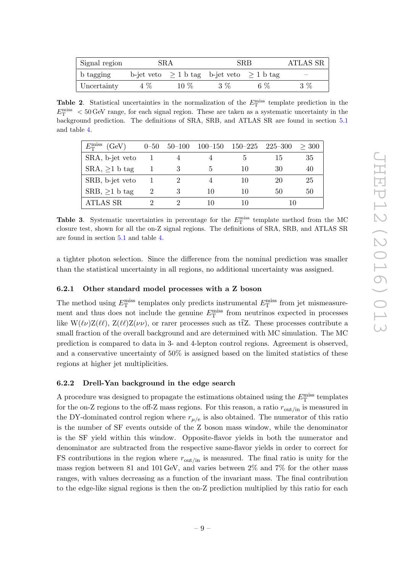| Signal region | SRA |                                                     | <b>SRB</b> | ATLAS SR |                          |
|---------------|-----|-----------------------------------------------------|------------|----------|--------------------------|
| b tagging     |     | b-jet veto $\geq 1$ b tag b-jet veto $\geq 1$ b tag |            |          | $\overline{\phantom{a}}$ |
| Uncertainty   | 4 % | $10\%$                                              | 3 %        | $6\%$    | $3\%$                    |

<span id="page-9-2"></span>**Table 2.** Statistical uncertainties in the normalization of the  $E_{\rm T}^{\rm miss}$  template prediction in the  $E_{\rm T}^{\rm miss}$   $\leq 50$  GeV range, for each signal region. These are taken as a systematic uncertainty in the background prediction. The definitions of SRA, SRB, and ATLAS SR are found in section [5.1](#page-5-1) and table [4.](#page-10-1)

| $E_{\rm T}^{\rm miss}$<br>(GeV) | $0 - 50$ | $50 - 100$ | 100–150 | $150 - 225$ | $225 - 300$ | > 300 |
|---------------------------------|----------|------------|---------|-------------|-------------|-------|
| SRA, b-jet veto                 |          |            |         | $\ddot{a}$  | 15          | 35    |
| $SRA$ , $\geq 1$ b tag          |          |            | $\cdot$ | 10          | 30          | 40    |
| SRB, b-jet veto                 |          |            |         | 10          | 20          | 25    |
| SRB, $\geq 1$ b tag             |          |            | 10      | 10          | 50          | 50    |
| ATLAS SR                        |          |            |         | 10          | 10          |       |

<span id="page-9-3"></span>Table 3. Systematic uncertainties in percentage for the  $E_{\rm T}^{\rm miss}$  template method from the MC closure test, shown for all the on-Z signal regions. The definitions of SRA, SRB, and ATLAS SR are found in section [5.1](#page-5-1) and table [4.](#page-10-1)

a tighter photon selection. Since the difference from the nominal prediction was smaller than the statistical uncertainty in all regions, no additional uncertainty was assigned.

## <span id="page-9-0"></span>6.2.1 Other standard model processes with a Z boson

The method using  $E_{\rm T}^{\rm miss}$  templates only predicts instrumental  $E_{\rm T}^{\rm miss}$  from jet mismeasurement and thus does not include the genuine  $E_{\rm T}^{\rm miss}$  from neutrinos expected in processes like  $W(\ell\nu)Z(\ell\ell), Z(\ell\ell)Z(\nu\nu)$ , or rarer processes such as ttz. These processes contribute a small fraction of the overall background and are determined with MC simulation. The MC prediction is compared to data in 3- and 4-lepton control regions. Agreement is observed, and a conservative uncertainty of 50% is assigned based on the limited statistics of these regions at higher jet multiplicities.

#### <span id="page-9-1"></span>6.2.2 Drell-Yan background in the edge search

A procedure was designed to propagate the estimations obtained using the  $E_{\rm T}^{\rm miss}$  templates for the on-Z regions to the off-Z mass regions. For this reason, a ratio  $r_{\text{out/in}}$  is measured in the DY-dominated control region where  $r_{\mu/e}$  is also obtained. The numerator of this ratio is the number of SF events outside of the Z boson mass window, while the denominator is the SF yield within this window. Opposite-flavor yields in both the numerator and denominator are subtracted from the respective same-flavor yields in order to correct for FS contributions in the region where  $r_{\text{out/in}}$  is measured. The final ratio is unity for the mass region between 81 and 101 GeV, and varies between 2% and 7% for the other mass ranges, with values decreasing as a function of the invariant mass. The final contribution to the edge-like signal regions is then the on-Z prediction multiplied by this ratio for each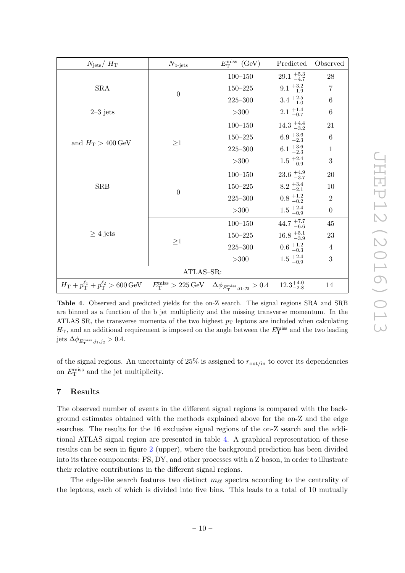|                    |                | $100 - 150$                                                                                                                                          | $29.1_{\phantom{0}-4.7}^{\phantom{0}+5.3}$ | 28              |
|--------------------|----------------|------------------------------------------------------------------------------------------------------------------------------------------------------|--------------------------------------------|-----------------|
| $\rm SRA$          | $\overline{0}$ | $150 - 225$                                                                                                                                          | $9.1_{\phantom{0}-1.9}^{\phantom{0}+3.2}$  | $\overline{7}$  |
|                    |                | $225 - 300$                                                                                                                                          | $3.4_{\phantom{0}-1.0}^{\phantom{0}+2.5}$  | 6               |
| $-3$ jets          |                | >300                                                                                                                                                 | $2.1_{-0.7}^{+1.4}$                        | $6\phantom{.}6$ |
|                    |                | $100 - 150$                                                                                                                                          | $14.3_{\phantom{0}-3.2}^{\phantom{0}+4.4}$ | 21              |
| $>400\,\text{GeV}$ |                | $150 - 225$                                                                                                                                          | $6.9_{\phantom{0}-2.3}^{\phantom{0}+3.6}$  | $6\phantom{.}6$ |
|                    | $\geq1$        | $225 - 300$                                                                                                                                          | $6.1_{\phantom{0}-2.3}^{\phantom{0}+3.6}$  | $\mathbf 1$     |
|                    |                | >300                                                                                                                                                 | $1.5_{\phantom{0}-0.9}^{\phantom{0}+2.4}$  | 3               |
|                    |                | $100 - 150$                                                                                                                                          | $23.6_{\phantom{0}-3.7}^{\phantom{0}+4.9}$ | $20\,$          |
| $_{\rm SRB}$       | $\theta$       | $150 - 225$                                                                                                                                          | $8.2^{+3.4}_{-2.1}$                        | 10              |
|                    |                | $225 - 300$                                                                                                                                          | $0.8\text{ }^{+1.2}_{-0.2}$                | $\overline{2}$  |
|                    |                | >300                                                                                                                                                 | $1.5_{-0.9}^{+2.4}$                        | $\theta$        |
|                    |                | $100 - 150$                                                                                                                                          | $44.7^{+7.7}_{-6.6}$                       | 45              |
| 4 jets             |                | $150 - 225$                                                                                                                                          | $16.8 \; _{-3.9}^{+5.1}$                   | 23              |
|                    | $\geq1$        | $225 - 300$                                                                                                                                          | $0.6_{-0.3}^{+1.2}$                        | 4               |
|                    |                | ${>}300$                                                                                                                                             | $1.5_{-0.9}^{+2.4}$                        | 3               |
|                    | ATLAS-SR:      |                                                                                                                                                      |                                            |                 |
|                    |                | $p_{\rm T}^{\ell_2} > 600\,{\rm GeV}$ $E_{\rm T}^{\rm miss} > 225\,{\rm GeV}$ $\Delta\phi_{E_{\rm T}^{\rm miss},j_1,j_2} > 0.4$ $12.3^{+4.0}_{-2.8}$ |                                            | 14              |
|                    |                |                                                                                                                                                      |                                            |                 |

|                                                                                                                                                                                            |                | $225 - 300$ | $3.4^{+2.5}_{-1.0}$                        | $\boldsymbol{6}$ |  |  |
|--------------------------------------------------------------------------------------------------------------------------------------------------------------------------------------------|----------------|-------------|--------------------------------------------|------------------|--|--|
| $2-3$ jets                                                                                                                                                                                 |                | >300        | $2.1_{-0.7}^{+1.4}$                        | 6                |  |  |
|                                                                                                                                                                                            |                | $100 - 150$ | $14.3_{-3.2}^{+4.4}$                       | $21\,$           |  |  |
| and $H_{\rm T} > 400 \,\text{GeV}$                                                                                                                                                         | $\geq1$        | $150 - 225$ | $6.9_{\phantom{0}-2.3}^{\phantom{0}+3.6}$  | $\boldsymbol{6}$ |  |  |
|                                                                                                                                                                                            |                | $225 - 300$ | $6.1_{\phantom{0}-2.3}^{\phantom{0}+3.6}$  | $\mathbf{1}$     |  |  |
|                                                                                                                                                                                            |                | >300        | $1.5_{\phantom{0}-0.9}^{\phantom{0}+2.4}$  | 3                |  |  |
|                                                                                                                                                                                            |                | $100 - 150$ | $23.6_{\phantom{0}-3.7}^{\phantom{0}+4.9}$ | $20\,$           |  |  |
| <b>SRB</b>                                                                                                                                                                                 | $\overline{0}$ | $150 - 225$ | $8.2^{+3.4}_{-2.1}$                        | 10               |  |  |
|                                                                                                                                                                                            |                | $225 - 300$ | $0.8_{-0.2}^{+1.2}$                        | $\overline{2}$   |  |  |
|                                                                                                                                                                                            | $\geq1$        | >300        | $1.5_{-0.9}^{+2.4}$                        | $\boldsymbol{0}$ |  |  |
|                                                                                                                                                                                            |                | $100 - 150$ | $44.7_{\phantom{0}-6.6}^{\phantom{0}+7.7}$ | 45               |  |  |
| $\geq 4$ jets                                                                                                                                                                              |                | $150 - 225$ | $16.8 \; _{-3.9}^{+5.1}$                   | 23               |  |  |
|                                                                                                                                                                                            |                | $225 - 300$ | $0.6_{-0.3}^{+1.2}$                        | $\overline{4}$   |  |  |
|                                                                                                                                                                                            |                | >300        | $1.5_{-0.9}^{+2.4}$                        | 3                |  |  |
| ATLAS-SR:                                                                                                                                                                                  |                |             |                                            |                  |  |  |
| $H_{\rm T} + p_{\rm T}^{\ell_1} + p_{\rm T}^{\ell_2} > 600 \,\text{GeV}$ $E_{\rm T}^{\rm miss} > 225 \,\text{GeV}$ $\Delta \phi_{E_{\rm T}^{\rm miss},j_1,j_2} > 0.4$ $12.3^{+4.0}_{-2.8}$ |                |             |                                            | 14               |  |  |
| <b>Table 4.</b> Observed and predicted vields for the on-Z search. The signal regions SRA and SRE                                                                                          |                |             |                                            |                  |  |  |

 $E_{\rm T}^{\rm miss}$ 

(GeV) Predicted Observed

 $N_{\text{jets}}/H_{\text{T}}$   $N_{\text{b-jets}}$ 

<span id="page-10-1"></span>Table 4. Observed and predicted yields for the on-Z search. The signal are binned as a function of the b jet multiplicity and the missing transverse momentum. In the ATLAS SR, the transverse momenta of the two highest  $p<sub>T</sub>$  leptons are included when calculating  $H<sub>T</sub>$ , and an additional requirement is imposed on the angle between the  $E<sub>T</sub><sup>miss</sup>$  and the two leading jets  $\Delta\phi_{E_{\rm T}^{\rm miss},j_1,j_2} > 0.4$ .

of the signal regions. An uncertainty of  $25\%$  is assigned to  $r_{\text{out/in}}$  to cover its dependencies on  $E_{\rm T}^{\rm miss}$  and the jet multiplicity.

## <span id="page-10-0"></span>7 Results

The observed number of events in the different signal regions is compared with the background estimates obtained with the methods explained above for the on-Z and the edge searches. The results for the 16 exclusive signal regions of the on-Z search and the additional ATLAS signal region are presented in table [4.](#page-10-1) A graphical representation of these results can be seen in figure [2](#page-12-0) (upper), where the background prediction has been divided into its three components: FS, DY, and other processes with a Z boson, in order to illustrate their relative contributions in the different signal regions.

The edge-like search features two distinct  $m_{\ell\ell}$  spectra according to the centrality of the leptons, each of which is divided into five bins. This leads to a total of 10 mutually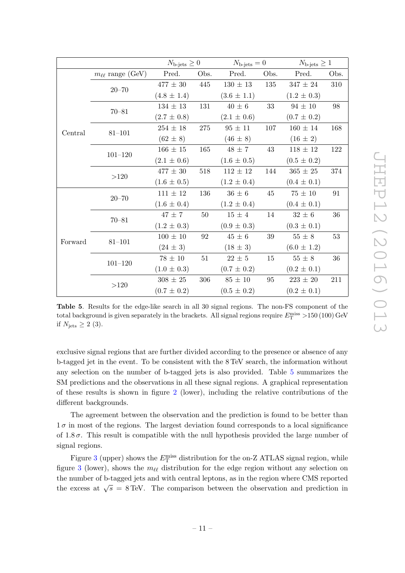|         |                            | $N_{\text{b-jets}} \geq 0$ |         | $N_{\text{b-jets}} = 0$ |        | $N_{\text{b-jets}} \geq 1$ |        |
|---------|----------------------------|----------------------------|---------|-------------------------|--------|----------------------------|--------|
|         | $m_{\ell\ell}$ range (GeV) | Pred.                      | Obs.    | Pred.                   | Obs.   | Pred.                      | Obs.   |
|         | $20 - 70$                  | $477 \pm 30$               | 445     | $130 \pm 13$            | 135    | $347 \pm 24$               | 310    |
|         |                            | $(4.8 \pm 1.4)$            |         | $(3.6 \pm 1.1)$         |        | $(1.2 \pm 0.3)$            |        |
|         | $70 - 81$                  | $134 \pm 13$               | 131     | $40\,\pm\,6$            | 33     | $94\,\pm\,10$              | $98\,$ |
|         |                            | $(2.7 \pm 0.8)$            |         | $(2.1 \pm 0.6)$         |        | $(0.7 \pm 0.2)$            |        |
| Central | $81 - 101$                 | $254 \pm 18$               | $275\,$ | $95 \pm 11$             | 107    | $160\,\pm\,14$             | 168    |
|         |                            | $(62 \pm 8)$               |         | $(46 \pm 8)$            |        | $(16 \pm 2)$               |        |
|         | $101 - 120$                | $166 \pm 15$               | 165     | $48 \pm 7$              | 43     | $118\,\pm\,12$             | 122    |
|         |                            | $(2.1 \pm 0.6)$            |         | $(1.6 \pm 0.5)$         |        | $(0.5 \pm 0.2)$            |        |
|         | ${>}120$                   | $477 \pm 30$               | 518     | $112 \pm 12$            | 144    | $365\,\pm\,25$             | 374    |
|         |                            | $(1.6 \pm 0.5)$            |         | $(1.2 \pm 0.4)$         |        | $(0.4 \pm 0.1)$            |        |
|         | $20 - 70$                  | $111 \pm 12$               | 136     | $36\,\pm\,6$            | 45     | $75 \pm 10$                | 91     |
|         |                            | $(1.6 \pm 0.4)$            |         | $(1.2 \pm 0.4)$         |        | $(0.4 \pm 0.1)$            |        |
|         | $70 - 81$                  | $47 \pm 7$                 | $50\,$  | $15\,\pm\,4$            | 14     | $32 \pm 6$                 | 36     |
|         |                            | $(1.2 \pm 0.3)$            |         | $(0.9 \pm 0.3)$         |        | $(0.3 \pm 0.1)$            |        |
| Forward | $81 - 101$                 | $100 \pm 10$               | 92      | $45\,\pm\,6$            | 39     | $55\,\pm\,8$               | $53\,$ |
|         |                            | $(24 \pm 3)$               |         | $(18 \pm 3)$            |        | $(6.0 \pm 1.2)$            |        |
|         |                            | $78\,\pm\,10$              | 51      | $22 \pm 5$              | $15\,$ | $55\,\pm\,8$               | 36     |
|         | $101 - 120$                | $(1.0 \pm 0.3)$            |         | $(0.7 \pm 0.2)$         |        | $(0.2 \pm 0.1)$            |        |
|         | ${>}120$                   | $308 \pm 25$               | 306     | $85 \pm 10$             | 95     | $223 \pm 20$               | 211    |
|         |                            | $(0.7 \pm 0.2)$            |         | $(0.5 \pm 0.2)$         |        | $(0.2 \pm 0.1)$            |        |

<span id="page-11-0"></span>Table 5. Results for the edge-like search in all 30 signal regions. The non-FS component of the total background is given separately in the brackets. All signal regions require  $E_{\rm T}^{\rm miss}$  >150 (100) GeV if  $N_{\text{jets}} \geq 2$  (3).

exclusive signal regions that are further divided according to the presence or absence of any b-tagged jet in the event. To be consistent with the 8 TeV search, the information without any selection on the number of b-tagged jets is also provided. Table [5](#page-11-0) summarizes the SM predictions and the observations in all these signal regions. A graphical representation of these results is shown in figure [2](#page-12-0) (lower), including the relative contributions of the different backgrounds.

The agreement between the observation and the prediction is found to be better than  $1\sigma$  in most of the regions. The largest deviation found corresponds to a local significance of  $1.8\sigma$ . This result is compatible with the null hypothesis provided the large number of signal regions.

Figure [3](#page-13-0) (upper) shows the  $E_{\rm T}^{\rm miss}$  distribution for the on-Z ATLAS signal region, while figure [3](#page-13-0) (lower), shows the  $m_{\ell\ell}$  distribution for the edge region without any selection on the number of b-tagged jets and with central leptons, as in the region where CMS reported the number of B tagged jets and with central reposits, as in the region where  $\epsilon$ the reported the excess at  $\sqrt{s} = 8$  TeV. The comparison between the observation and prediction in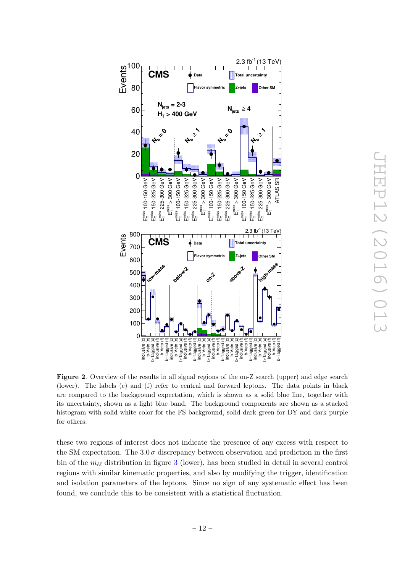

<span id="page-12-0"></span>Figure 2. Overview of the results in all signal regions of the on-Z search (upper) and edge search (lower). The labels (c) and (f) refer to central and forward leptons. The data points in black are compared to the background expectation, which is shown as a solid blue line, together with its uncertainty, shown as a light blue band. The background components are shown as a stacked histogram with solid white color for the FS background, solid dark green for DY and dark purple for others.

these two regions of interest does not indicate the presence of any excess with respect to the SM expectation. The  $3.0\,\sigma$  discrepancy between observation and prediction in the first bin of the  $m_{\ell\ell}$  distribution in figure [3](#page-13-0) (lower), has been studied in detail in several control regions with similar kinematic properties, and also by modifying the trigger, identification and isolation parameters of the leptons. Since no sign of any systematic effect has been found, we conclude this to be consistent with a statistical fluctuation.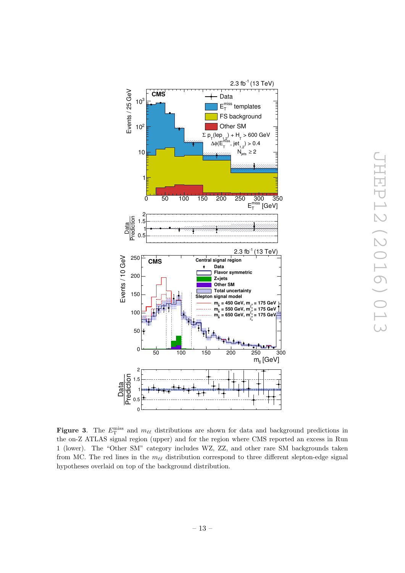

<span id="page-13-0"></span>Figure 3. The  $E_{\rm T}^{\rm miss}$  and  $m_{\ell\ell}$  distributions are shown for data and background predictions in the on-Z ATLAS signal region (upper) and for the region where CMS reported an excess in Run 1 (lower). The "Other SM" category includes WZ, ZZ, and other rare SM backgrounds taken from MC. The red lines in the  $m_{\ell\ell}$  distribution correspond to three different slepton-edge signal hypotheses overlaid on top of the background distribution.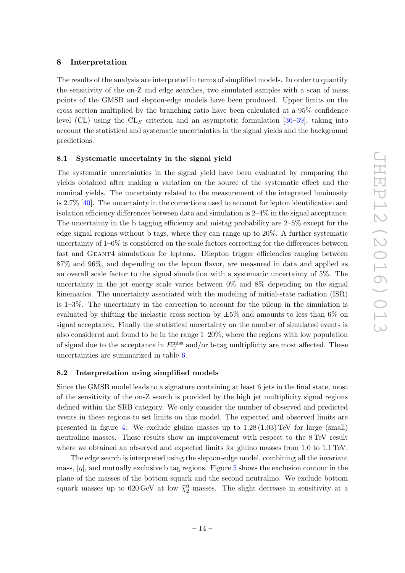### <span id="page-14-0"></span>8 Interpretation

The results of the analysis are interpreted in terms of simplified models. In order to quantify the sensitivity of the on-Z and edge searches, two simulated samples with a scan of mass points of the GMSB and slepton-edge models have been produced. Upper limits on the cross section multiplied by the branching ratio have been calculated at a 95% confidence level (CL) using the  $CL<sub>S</sub>$  criterion and an asymptotic formulation [\[36](#page-20-2)[–39\]](#page-20-3), taking into account the statistical and systematic uncertainties in the signal yields and the background predictions.

#### <span id="page-14-1"></span>8.1 Systematic uncertainty in the signal yield

The systematic uncertainties in the signal yield have been evaluated by comparing the yields obtained after making a variation on the source of the systematic effect and the nominal yields. The uncertainty related to the measurement of the integrated luminosity is  $2.7\%$  [\[40\]](#page-20-4). The uncertainty in the corrections used to account for lepton identification and isolation efficiency differences between data and simulation is 2–4% in the signal acceptance. The uncertainty in the b tagging efficiency and mistag probability are 2–5% except for the edge signal regions without b tags, where they can range up to 20%. A further systematic uncertainty of 1–6% is considered on the scale factors correcting for the differences between fast and Geant4 simulations for leptons. Dilepton trigger efficiencies ranging between 87% and 96%, and depending on the lepton flavor, are measured in data and applied as an overall scale factor to the signal simulation with a systematic uncertainty of 5%. The uncertainty in the jet energy scale varies between  $0\%$  and  $8\%$  depending on the signal kinematics. The uncertainty associated with the modeling of initial-state radiation (ISR) is 1–3%. The uncertainty in the correction to account for the pileup in the simulation is evaluated by shifting the inelastic cross section by  $\pm 5\%$  and amounts to less than 6% on signal acceptance. Finally the statistical uncertainty on the number of simulated events is also considered and found to be in the range 1–20%, where the regions with low population of signal due to the acceptance in  $E_{\rm T}^{\rm miss}$  and/or b-tag multiplicity are most affected. These uncertainties are summarized in table [6.](#page-15-0)

## <span id="page-14-2"></span>8.2 Interpretation using simplified models

Since the GMSB model leads to a signature containing at least 6 jets in the final state, most of the sensitivity of the on-Z search is provided by the high jet multiplicity signal regions defined within the SRB category. We only consider the number of observed and predicted events in these regions to set limits on this model. The expected and observed limits are presented in figure [4.](#page-15-1) We exclude gluino masses up to  $1.28(1.03)$  TeV for large (small) neutralino masses. These results show an improvement with respect to the 8 TeV result where we obtained an observed and expected limits for gluino masses from 1.0 to 1.1 TeV.

The edge search is interpreted using the slepton-edge model, combining all the invariant mass,  $|\eta|$ , and mutually exclusive b tag regions. Figure [5](#page-16-1) shows the exclusion contour in the plane of the masses of the bottom squark and the second neutralino. We exclude bottom squark masses up to  $620 \,\text{GeV}$  at low  $\tilde{\chi}_2^0$  masses. The slight decrease in sensitivity at a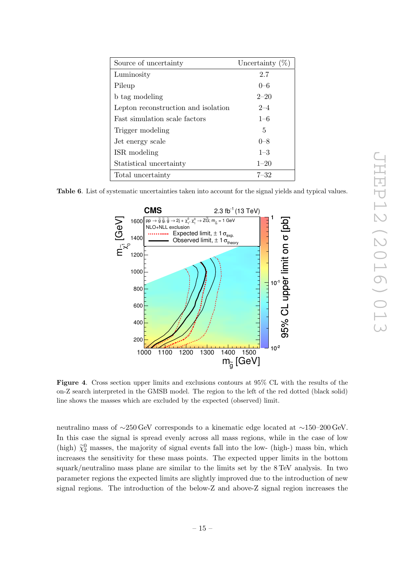| Source of uncertainty                | Uncertainty $(\%)$ |
|--------------------------------------|--------------------|
| Luminosity                           | 2.7                |
| Pileup                               | $0 - 6$            |
| b tag modeling                       | $2 - 20$           |
| Lepton reconstruction and isolation  | $2 - 4$            |
| <b>Fast simulation scale factors</b> | $1 - 6$            |
| Trigger modeling                     | 5                  |
| Jet energy scale                     | $0 - 8$            |
| ISR modeling                         | $1 - 3$            |
| Statistical uncertainty              | $1 - 20$           |
| Total uncertainty                    | 7–32               |

Table 6. List of systematic uncertainties taken into account for the signal yields and typical values.

<span id="page-15-0"></span>

<span id="page-15-1"></span>Figure 4. Cross section upper limits and exclusions contours at 95% CL with the results of the on-Z search interpreted in the GMSB model. The region to the left of the red dotted (black solid) line shows the masses which are excluded by the expected (observed) limit.

neutralino mass of ∼250 GeV corresponds to a kinematic edge located at ∼150–200 GeV. In this case the signal is spread evenly across all mass regions, while in the case of low (high)  $\tilde{\chi}_2^0$  masses, the majority of signal events fall into the low- (high-) mass bin, which increases the sensitivity for these mass points. The expected upper limits in the bottom squark/neutralino mass plane are similar to the limits set by the 8 TeV analysis. In two parameter regions the expected limits are slightly improved due to the introduction of new signal regions. The introduction of the below-Z and above-Z signal region increases the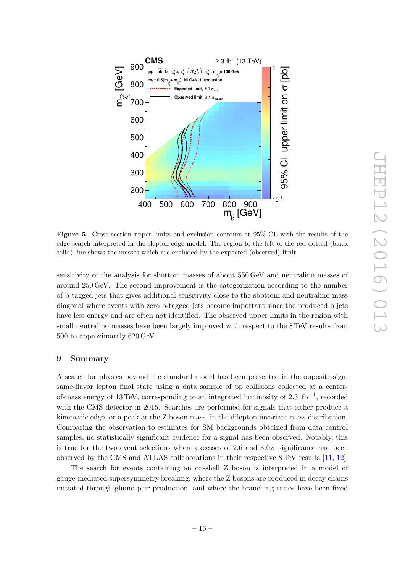

<span id="page-16-1"></span>Figure 5. Cross section upper limits and exclusion contours at 95% CL with the results of the edge search interpreted in the slepton-edge model. The region to the left of the red dotted (black solid) line shows the masses which are excluded by the expected (observed) limit.

sensitivity of the analysis for sbottom masses of about 550 GeV and neutralino masses of around 250 GeV. The second improvement is the categorization according to the number of b-tagged jets that gives additional sensitivity close to the sbottom and neutralino mass diagonal where events with zero b-tagged jets become important since the produced b jets have less energy and are often not identified. The observed upper limits in the region with small neutralino masses have been largely improved with respect to the 8 TeV results from 500 to approximately 620 GeV.

#### <span id="page-16-0"></span>9 Summary

A search for physics beyond the standard model has been presented in the opposite-sign, same-flavor lepton final state using a data sample of pp collisions collected at a centerof-mass energy of 13 TeV, corresponding to an integrated luminosity of 2.3  $\text{fb}^{-1}$ , recorded with the CMS detector in 2015. Searches are performed for signals that either produce a kinematic edge, or a peak at the Z boson mass, in the dilepton invariant mass distribution. Comparing the observation to estimates for SM backgrounds obtained from data control samples, no statistically significant evidence for a signal has been observed. Notably, this is true for the two event selections where excesses of 2.6 and  $3.0\sigma$  significance had been observed by the CMS and ATLAS collaborations in their respective 8 TeV results [\[11,](#page-18-4) [12\]](#page-18-5).

The search for events containing an on-shell Z boson is interpreted in a model of gauge-mediated supersymmetry breaking, where the Z bosons are produced in decay chains initiated through gluino pair production, and where the branching ratios have been fixed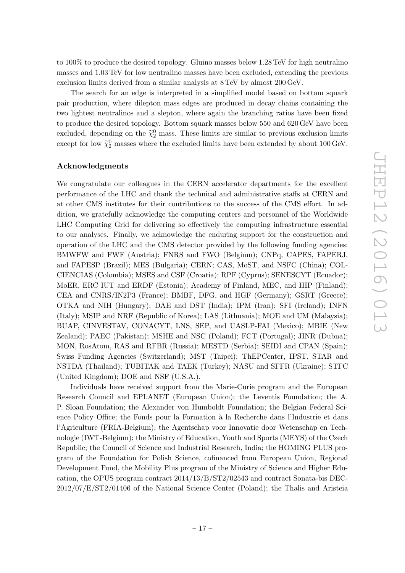to 100% to produce the desired topology. Gluino masses below 1.28 TeV for high neutralino masses and 1.03 TeV for low neutralino masses have been excluded, extending the previous exclusion limits derived from a similar analysis at 8 TeV by almost 200 GeV.

The search for an edge is interpreted in a simplified model based on bottom squark pair production, where dilepton mass edges are produced in decay chains containing the two lightest neutralinos and a slepton, where again the branching ratios have been fixed to produce the desired topology. Bottom squark masses below 550 and 620 GeV have been excluded, depending on the  $\tilde{\chi}_2^0$  mass. These limits are similar to previous exclusion limits except for low  $\tilde{\chi}_2^0$  masses where the excluded limits have been extended by about 100 GeV.

### Acknowledgments

We congratulate our colleagues in the CERN accelerator departments for the excellent performance of the LHC and thank the technical and administrative staffs at CERN and at other CMS institutes for their contributions to the success of the CMS effort. In addition, we gratefully acknowledge the computing centers and personnel of the Worldwide LHC Computing Grid for delivering so effectively the computing infrastructure essential to our analyses. Finally, we acknowledge the enduring support for the construction and operation of the LHC and the CMS detector provided by the following funding agencies: BMWFW and FWF (Austria); FNRS and FWO (Belgium); CNPq, CAPES, FAPERJ, and FAPESP (Brazil); MES (Bulgaria); CERN; CAS, MoST, and NSFC (China); COL-CIENCIAS (Colombia); MSES and CSF (Croatia); RPF (Cyprus); SENESCYT (Ecuador); MoER, ERC IUT and ERDF (Estonia); Academy of Finland, MEC, and HIP (Finland); CEA and CNRS/IN2P3 (France); BMBF, DFG, and HGF (Germany); GSRT (Greece); OTKA and NIH (Hungary); DAE and DST (India); IPM (Iran); SFI (Ireland); INFN (Italy); MSIP and NRF (Republic of Korea); LAS (Lithuania); MOE and UM (Malaysia); BUAP, CINVESTAV, CONACYT, LNS, SEP, and UASLP-FAI (Mexico); MBIE (New Zealand); PAEC (Pakistan); MSHE and NSC (Poland); FCT (Portugal); JINR (Dubna); MON, RosAtom, RAS and RFBR (Russia); MESTD (Serbia); SEIDI and CPAN (Spain); Swiss Funding Agencies (Switzerland); MST (Taipei); ThEPCenter, IPST, STAR and NSTDA (Thailand); TUBITAK and TAEK (Turkey); NASU and SFFR (Ukraine); STFC (United Kingdom); DOE and NSF (U.S.A.).

Individuals have received support from the Marie-Curie program and the European Research Council and EPLANET (European Union); the Leventis Foundation; the A. P. Sloan Foundation; the Alexander von Humboldt Foundation; the Belgian Federal Science Policy Office; the Fonds pour la Formation à la Recherche dans l'Industrie et dans l'Agriculture (FRIA-Belgium); the Agentschap voor Innovatie door Wetenschap en Technologie (IWT-Belgium); the Ministry of Education, Youth and Sports (MEYS) of the Czech Republic; the Council of Science and Industrial Research, India; the HOMING PLUS program of the Foundation for Polish Science, cofinanced from European Union, Regional Development Fund, the Mobility Plus program of the Ministry of Science and Higher Education, the OPUS program contract 2014/13/B/ST2/02543 and contract Sonata-bis DEC-2012/07/E/ST2/01406 of the National Science Center (Poland); the Thalis and Aristeia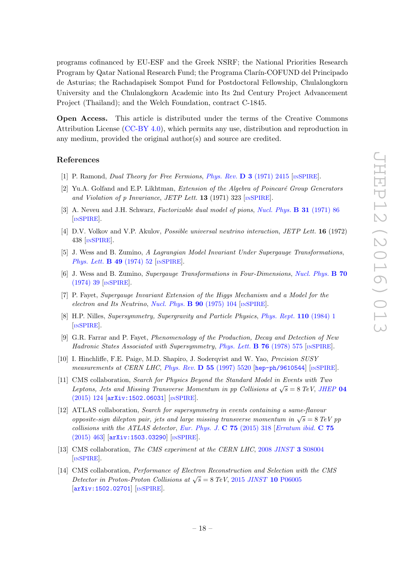programs cofinanced by EU-ESF and the Greek NSRF; the National Priorities Research Program by Qatar National Research Fund; the Programa Clarín-COFUND del Principado de Asturias; the Rachadapisek Sompot Fund for Postdoctoral Fellowship, Chulalongkorn University and the Chulalongkorn Academic into Its 2nd Century Project Advancement Project (Thailand); and the Welch Foundation, contract C-1845.

Open Access. This article is distributed under the terms of the Creative Commons Attribution License [\(CC-BY 4.0\)](http://creativecommons.org/licenses/by/4.0/), which permits any use, distribution and reproduction in any medium, provided the original author(s) and source are credited.

## References

- <span id="page-18-0"></span>[1] P. Ramond, Dual Theory for Free Fermions, Phys. Rev. D 3 [\(1971\) 2415](http://dx.doi.org/10.1103/PhysRevD.3.2415) [IN[SPIRE](http://inspirehep.net/search?p=find+J+%22Phys.Rev.,D3,2415%22)].
- [2] Yu.A. Golfand and E.P. Likhtman, Extension of the Algebra of Poincaré Group Generators and Violation of p Invariance, JETP Lett. 13 (1971) 323 [IN[SPIRE](http://inspirehep.net/search?p=find+J+%22JETPLett.,13,323%22)].
- [3] A. Neveu and J.H. Schwarz, Factorizable dual model of pions, [Nucl. Phys.](http://dx.doi.org/10.1016/0550-3213(71)90448-2) **B 31** (1971) 86 [IN[SPIRE](http://inspirehep.net/search?p=find+J+%22Nucl.Phys.,B31,86%22)].
- [4] D.V. Volkov and V.P. Akulov, Possible universal neutrino interaction, JETP Lett. 16 (1972) 438 [IN[SPIRE](http://inspirehep.net/search?p=find+J+%22JETPLett.,16,438%22)].
- [5] J. Wess and B. Zumino, A Lagrangian Model Invariant Under Supergauge Transformations, [Phys. Lett.](http://dx.doi.org/10.1016/0370-2693(74)90578-4) **B 49** (1974) 52 [IN[SPIRE](http://inspirehep.net/search?p=find+J+%22Phys.Lett.,B49,52%22)].
- [6] J. Wess and B. Zumino, Supergauge Transformations in Four-Dimensions, [Nucl. Phys.](http://dx.doi.org/10.1016/0550-3213(74)90355-1) B 70 [\(1974\) 39](http://dx.doi.org/10.1016/0550-3213(74)90355-1) [IN[SPIRE](http://inspirehep.net/search?p=find+J+%22Nucl.Phys.,B70,39%22)].
- [7] P. Fayet, Supergauge Invariant Extension of the Higgs Mechanism and a Model for the electron and Its Neutrino, [Nucl. Phys.](http://dx.doi.org/10.1016/0550-3213(75)90636-7)  $\bf{B}$  90 (1975) 104 [IN[SPIRE](http://inspirehep.net/search?p=find+J+%22Nucl.Phys.,B90,104%22)].
- <span id="page-18-1"></span>[8] H.P. Nilles, Supersymmetry, Supergravity and Particle Physics, [Phys. Rept.](http://dx.doi.org/10.1016/0370-1573(84)90008-5) 110 (1984) 1 [IN[SPIRE](http://inspirehep.net/search?p=find+J+%22Phys.Rep.,110,1%22)].
- <span id="page-18-2"></span>[9] G.R. Farrar and P. Fayet, Phenomenology of the Production, Decay and Detection of New Hadronic States Associated with Supersymmetry, [Phys. Lett.](http://dx.doi.org/10.1016/0370-2693(78)90858-4) **B** 76 (1978) 575 [IN[SPIRE](http://inspirehep.net/search?p=find+J+%22Phys.Lett.,B76,575%22)].
- <span id="page-18-3"></span>[10] I. Hinchliffe, F.E. Paige, M.D. Shapiro, J. Soderqvist and W. Yao, Precision SUSY measurements at CERN LHC, Phys. Rev. D 55 [\(1997\) 5520](http://dx.doi.org/10.1103/PhysRevD.55.5520) [[hep-ph/9610544](https://arxiv.org/abs/hep-ph/9610544)] [IN[SPIRE](http://inspirehep.net/search?p=find+EPRINT+hep-ph/9610544)].
- <span id="page-18-4"></span>[11] CMS collaboration, Search for Physics Beyond the Standard Model in Events with Two Leptons, Jets and Missing Transverse Momentum in pp Collisions at  $\sqrt{s} = 8$  TeV, [JHEP](http://dx.doi.org/10.1007/JHEP04(2015)124) 04 [\(2015\) 124](http://dx.doi.org/10.1007/JHEP04(2015)124) [[arXiv:1502.06031](https://arxiv.org/abs/1502.06031)] [IN[SPIRE](http://inspirehep.net/search?p=find+EPRINT+arXiv:1502.06031)].
- <span id="page-18-5"></span>[12] ATLAS collaboration, Search for supersymmetry in events containing a same-flavour opposite-sign dilepton pair, jets and large missing transverse momentum in  $\sqrt{s} = 8 \text{ TeV pp}$ collisions with the ATLAS detector, [Eur. Phys. J.](http://dx.doi.org/10.1140/epjc/s10052-015-3518-2) C 75 (2015) 318 [[Erratum ibid.](http://dx.doi.org/10.1140/epjc/s10052-015-3661-9) C 75 [\(2015\) 463\]](http://dx.doi.org/10.1140/epjc/s10052-015-3661-9) [[arXiv:1503.03290](https://arxiv.org/abs/1503.03290)] [IN[SPIRE](http://inspirehep.net/search?p=find+EPRINT+arXiv:1503.03290)].
- <span id="page-18-6"></span>[13] CMS collaboration, The CMS experiment at the CERN LHC, 2008 JINST 3 [S08004](http://dx.doi.org/10.1088/1748-0221/3/08/S08004) [IN[SPIRE](http://inspirehep.net/search?p=find+J+%22JINST,3,S08004%22)].
- <span id="page-18-7"></span>[14] CMS collaboration, Performance of Electron Reconstruction and Selection with the CMS Detector in Proton-Proton Collisions at  $\sqrt{s} = 8$  TeV, 2015 JINST 10 [P06005](http://dx.doi.org/10.1088/1748-0221/10/06/P06005) [[arXiv:1502.02701](https://arxiv.org/abs/1502.02701)] [IN[SPIRE](http://inspirehep.net/search?p=find+EPRINT+arXiv:1502.02701)].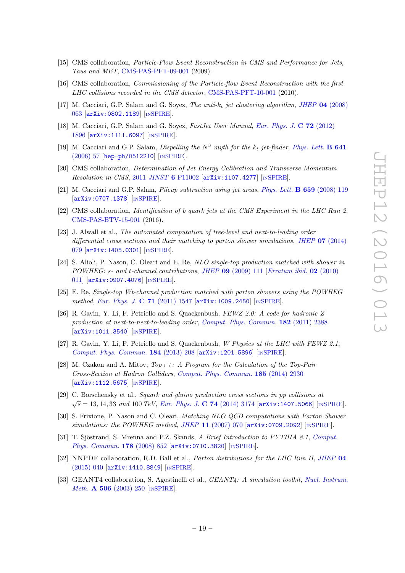- <span id="page-19-0"></span>[15] CMS collaboration, Particle-Flow Event Reconstruction in CMS and Performance for Jets, Taus and MET, [CMS-PAS-PFT-09-001](http://cds.cern.ch/record/1194487) (2009).
- <span id="page-19-1"></span>[16] CMS collaboration, Commissioning of the Particle-flow Event Reconstruction with the first LHC collisions recorded in the CMS detector, [CMS-PAS-PFT-10-001](http://cds.cern.ch/record/1247373) (2010).
- <span id="page-19-2"></span>[17] M. Cacciari, G.P. Salam and G. Soyez, The anti- $k_t$  jet clustering algorithm, JHEP 04 [\(2008\)](http://dx.doi.org/10.1088/1126-6708/2008/04/063) [063](http://dx.doi.org/10.1088/1126-6708/2008/04/063) [[arXiv:0802.1189](https://arxiv.org/abs/0802.1189)] [IN[SPIRE](http://inspirehep.net/search?p=find+EPRINT+arXiv:0802.1189)].
- <span id="page-19-3"></span>[18] M. Cacciari, G.P. Salam and G. Soyez, FastJet User Manual, [Eur. Phys. J.](http://dx.doi.org/10.1140/epjc/s10052-012-1896-2) C 72 (2012) [1896](http://dx.doi.org/10.1140/epjc/s10052-012-1896-2) [[arXiv:1111.6097](https://arxiv.org/abs/1111.6097)] [IN[SPIRE](http://inspirehep.net/search?p=find+EPRINT+arXiv:1111.6097)].
- <span id="page-19-4"></span>[19] M. Cacciari and G.P. Salam, *Dispelling the*  $N^3$  myth for the  $k_t$  jet-finder, *[Phys. Lett.](http://dx.doi.org/10.1016/j.physletb.2006.08.037)* **B 641** [\(2006\) 57](http://dx.doi.org/10.1016/j.physletb.2006.08.037) [[hep-ph/0512210](https://arxiv.org/abs/hep-ph/0512210)] [IN[SPIRE](http://inspirehep.net/search?p=find+EPRINT+hep-ph/0512210)].
- <span id="page-19-5"></span>[20] CMS collaboration, Determination of Jet Energy Calibration and Transverse Momentum Resolution in CMS, 2011 JINST 6 [P11002](http://dx.doi.org/10.1088/1748-0221/6/11/P11002) [[arXiv:1107.4277](https://arxiv.org/abs/1107.4277)] [IN[SPIRE](http://inspirehep.net/search?p=find+EPRINT+arXiv:1107.4277)].
- <span id="page-19-6"></span>[21] M. Cacciari and G.P. Salam, Pileup subtraction using jet areas, [Phys. Lett.](http://dx.doi.org/10.1016/j.physletb.2007.09.077) B 659 (2008) 119 [[arXiv:0707.1378](https://arxiv.org/abs/0707.1378)] [IN[SPIRE](http://inspirehep.net/search?p=find+EPRINT+arXiv:0707.1378)].
- <span id="page-19-7"></span>[22] CMS collaboration, Identification of b quark jets at the CMS Experiment in the LHC Run 2, [CMS-PAS-BTV-15-001](http://cds.cern.ch/record/2138504) (2016).
- <span id="page-19-8"></span>[23] J. Alwall et al., The automated computation of tree-level and next-to-leading order differential cross sections and their matching to parton shower simulations, JHEP 07 [\(2014\)](http://dx.doi.org/10.1007/JHEP07(2014)079) [079](http://dx.doi.org/10.1007/JHEP07(2014)079) [[arXiv:1405.0301](https://arxiv.org/abs/1405.0301)] [IN[SPIRE](http://inspirehep.net/search?p=find+EPRINT+arXiv:1405.0301)].
- [24] S. Alioli, P. Nason, C. Oleari and E. Re, NLO single-top production matched with shower in POWHEG: s- and t-channel contributions, JHEP 09 [\(2009\) 111](http://dx.doi.org/10.1088/1126-6708/2009/09/111) [[Erratum ibid.](http://dx.doi.org/10.1007/JHEP02(2010)011) 02 (2010) [011\]](http://dx.doi.org/10.1007/JHEP02(2010)011) [[arXiv:0907.4076](https://arxiv.org/abs/0907.4076)] [IN[SPIRE](http://inspirehep.net/search?p=find+EPRINT+arXiv:0907.4076)].
- [25] E. Re, Single-top Wt-channel production matched with parton showers using the POWHEG method, [Eur. Phys. J.](http://dx.doi.org/10.1140/epjc/s10052-011-1547-z) C 71 (2011) 1547 [[arXiv:1009.2450](https://arxiv.org/abs/1009.2450)] [IN[SPIRE](http://inspirehep.net/search?p=find+EPRINT+arXiv:1009.2450)].
- [26] R. Gavin, Y. Li, F. Petriello and S. Quackenbush, FEWZ 2.0: A code for hadronic Z production at next-to-next-to-leading order, [Comput. Phys. Commun.](http://dx.doi.org/10.1016/j.cpc.2011.06.008) 182 (2011) 2388 [[arXiv:1011.3540](https://arxiv.org/abs/1011.3540)] [IN[SPIRE](http://inspirehep.net/search?p=find+EPRINT+arXiv:1011.3540)].
- [27] R. Gavin, Y. Li, F. Petriello and S. Quackenbush, W Physics at the LHC with FEWZ 2.1, [Comput. Phys. Commun.](http://dx.doi.org/10.1016/j.cpc.2012.09.005) 184 (2013) 208 [[arXiv:1201.5896](https://arxiv.org/abs/1201.5896)] [IN[SPIRE](http://inspirehep.net/search?p=find+EPRINT+arXiv:1201.5896)].
- <span id="page-19-9"></span>[28] M. Czakon and A. Mitov,  $Top++:$  A Program for the Calculation of the Top-Pair Cross-Section at Hadron Colliders, [Comput. Phys. Commun.](http://dx.doi.org/10.1016/j.cpc.2014.06.021) 185 (2014) 2930 [[arXiv:1112.5675](https://arxiv.org/abs/1112.5675)] [IN[SPIRE](http://inspirehep.net/search?p=find+EPRINT+arXiv:1112.5675)].
- <span id="page-19-10"></span>[29] C. Borschensky et al., Squark and gluino production cross sections in pp collisions at √  $\sqrt{s} = 13, 14, 33$  and 100 TeV, [Eur. Phys. J.](http://dx.doi.org/10.1140/epjc/s10052-014-3174-y) C 74 (2014) 3174  $\left[\ar{\rm Xiv}:1407.5066\right]$  [IN[SPIRE](http://inspirehep.net/search?p=find+EPRINT+arXiv:1407.5066)].
- <span id="page-19-11"></span>[30] S. Frixione, P. Nason and C. Oleari, Matching NLO QCD computations with Parton Shower simulations: the POWHEG method, JHEP 11 [\(2007\) 070](http://dx.doi.org/10.1088/1126-6708/2007/11/070)  $\arcsin 0709.2092$  [IN[SPIRE](http://inspirehep.net/search?p=find+EPRINT+arXiv:0709.2092)].
- <span id="page-19-12"></span>[31] T. Sjöstrand, S. Mrenna and P.Z. Skands, A Brief Introduction to PYTHIA 8.1, [Comput.](http://dx.doi.org/10.1016/j.cpc.2008.01.036) [Phys. Commun.](http://dx.doi.org/10.1016/j.cpc.2008.01.036) 178 (2008) 852 [[arXiv:0710.3820](https://arxiv.org/abs/0710.3820)] [IN[SPIRE](http://inspirehep.net/search?p=find+EPRINT+arXiv:0710.3820)].
- <span id="page-19-13"></span>[32] NNPDF collaboration, R.D. Ball et al., *Parton distributions for the LHC Run II, [JHEP](http://dx.doi.org/10.1007/JHEP04(2015)040)* 04 [\(2015\) 040](http://dx.doi.org/10.1007/JHEP04(2015)040) [[arXiv:1410.8849](https://arxiv.org/abs/1410.8849)] [IN[SPIRE](http://inspirehep.net/search?p=find+EPRINT+arXiv:1410.8849)].
- <span id="page-19-14"></span>[33] GEANT4 collaboration, S. Agostinelli et al., *GEANT4: A simulation toolkit, [Nucl. Instrum.](http://dx.doi.org/10.1016/S0168-9002(03)01368-8)* Meth. A 506 [\(2003\) 250](http://dx.doi.org/10.1016/S0168-9002(03)01368-8) [IN[SPIRE](http://inspirehep.net/search?p=find+J+%22Nucl.Instrum.Meth.,A506,250%22)].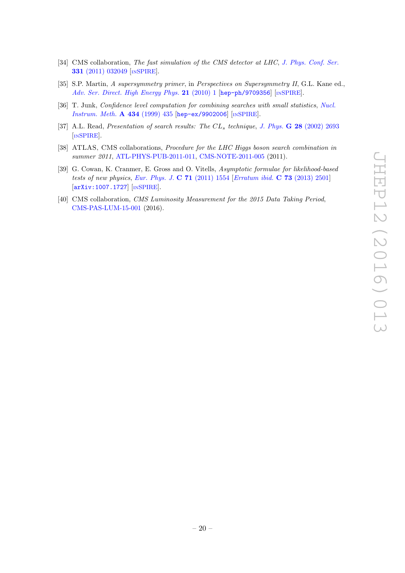- <span id="page-20-0"></span>[34] CMS collaboration, The fast simulation of the CMS detector at LHC, [J. Phys. Conf. Ser.](http://dx.doi.org/10.1088/1742-6596/331/3/032049) 331 [\(2011\) 032049](http://dx.doi.org/10.1088/1742-6596/331/3/032049) [IN[SPIRE](http://inspirehep.net/search?p=find+J+%22J.Phys.Conf.Ser.,331,032049%22)].
- <span id="page-20-1"></span>[35] S.P. Martin, A supersymmetry primer, in Perspectives on Supersymmetry II, G.L. Kane ed., [Adv. Ser. Direct. High Energy Phys.](http://dx.doi.org/10.1142/9789814307505_0001) 21 (2010) 1 [[hep-ph/9709356](https://arxiv.org/abs/hep-ph/9709356)] [IN[SPIRE](http://inspirehep.net/search?p=find+EPRINT+hep-ph/9709356)].
- <span id="page-20-2"></span>[36] T. Junk, Confidence level computation for combining searches with small statistics, [Nucl.](http://dx.doi.org/10.1016/S0168-9002(99)00498-2) [Instrum. Meth.](http://dx.doi.org/10.1016/S0168-9002(99)00498-2) A 434 (1999) 435 [[hep-ex/9902006](https://arxiv.org/abs/hep-ex/9902006)] [IN[SPIRE](http://inspirehep.net/search?p=find+EPRINT+hep-ex/9902006)].
- [37] A.L. Read, Presentation of search results: The CL<sub>s</sub> technique, J. Phys. **G 28** [\(2002\) 2693](http://dx.doi.org/10.1088/0954-3899/28/10/313) [IN[SPIRE](http://inspirehep.net/search?p=find+J+%22J.Phys.,G28,2693%22)].
- [38] ATLAS, CMS collaborations, *Procedure for the LHC Higgs boson search combination in* summer 2011, [ATL-PHYS-PUB-2011-011,](http://cds.cern.ch/record/1375842) [CMS-NOTE-2011-005](https://cds.cern.ch/record/1379837) (2011).
- <span id="page-20-3"></span>[39] G. Cowan, K. Cranmer, E. Gross and O. Vitells, Asymptotic formulae for likelihood-based tests of new physics, [Eur. Phys. J.](http://dx.doi.org/10.1140/epjc/s10052-011-1554-0) C 71 (2011) 1554 [[Erratum ibid.](http://dx.doi.org/10.1140/epjc/s10052-013-2501-z) C 73 (2013) 2501] [[arXiv:1007.1727](https://arxiv.org/abs/1007.1727)] [IN[SPIRE](http://inspirehep.net/search?p=find+EPRINT+arXiv:1007.1727)].
- <span id="page-20-4"></span>[40] CMS collaboration, *CMS Luminosity Measurement for the 2015 Data Taking Period*, [CMS-PAS-LUM-15-001](http://cds.cern.ch/record/2138682) (2016).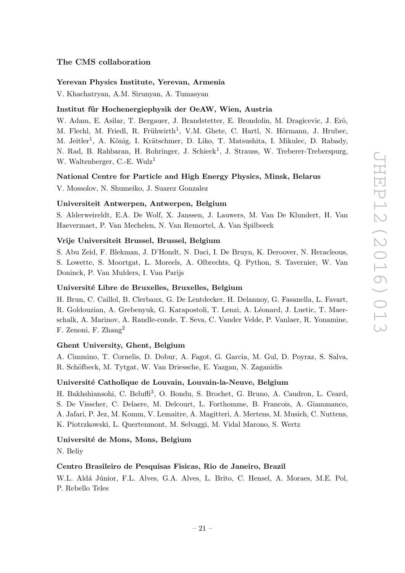## The CMS collaboration

#### <span id="page-21-0"></span>Yerevan Physics Institute, Yerevan, Armenia

V. Khachatryan, A.M. Sirunyan, A. Tumasyan

### Institut für Hochenergiephysik der OeAW, Wien, Austria

W. Adam, E. Asilar, T. Bergauer, J. Brandstetter, E. Brondolin, M. Dragicevic, J. Erö, M. Flechl, M. Friedl, R. Frühwirth<sup>1</sup>, V.M. Ghete, C. Hartl, N. Hörmann, J. Hrubec, M. Jeitler<sup>1</sup>, A. König, I. Krätschmer, D. Liko, T. Matsushita, I. Mikulec, D. Rabady, N. Rad, B. Rahbaran, H. Rohringer, J. Schieck<sup>1</sup>, J. Strauss, W. Treberer-Treberspurg, W. Waltenberger, C.-E. Wulz<sup>1</sup>

#### National Centre for Particle and High Energy Physics, Minsk, Belarus

V. Mossolov, N. Shumeiko, J. Suarez Gonzalez

### Universiteit Antwerpen, Antwerpen, Belgium

S. Alderweireldt, E.A. De Wolf, X. Janssen, J. Lauwers, M. Van De Klundert, H. Van Haevermaet, P. Van Mechelen, N. Van Remortel, A. Van Spilbeeck

#### Vrije Universiteit Brussel, Brussel, Belgium

S. Abu Zeid, F. Blekman, J. D'Hondt, N. Daci, I. De Bruyn, K. Deroover, N. Heracleous, S. Lowette, S. Moortgat, L. Moreels, A. Olbrechts, Q. Python, S. Tavernier, W. Van Doninck, P. Van Mulders, I. Van Parijs

#### Universit´e Libre de Bruxelles, Bruxelles, Belgium

H. Brun, C. Caillol, B. Clerbaux, G. De Lentdecker, H. Delannoy, G. Fasanella, L. Favart, R. Goldouzian, A. Grebenyuk, G. Karapostoli, T. Lenzi, A. Léonard, J. Luetic, T. Maerschalk, A. Marinov, A. Randle-conde, T. Seva, C. Vander Velde, P. Vanlaer, R. Yonamine, F. Zenoni, F. Zhang<sup>2</sup>

## Ghent University, Ghent, Belgium

A. Cimmino, T. Cornelis, D. Dobur, A. Fagot, G. Garcia, M. Gul, D. Poyraz, S. Salva, R. Schöfbeck, M. Tytgat, W. Van Driessche, E. Yazgan, N. Zaganidis

### Université Catholique de Louvain, Louvain-la-Neuve, Belgium

H. Bakhshiansohi, C. Beluffi<sup>3</sup>, O. Bondu, S. Brochet, G. Bruno, A. Caudron, L. Ceard, S. De Visscher, C. Delaere, M. Delcourt, L. Forthomme, B. Francois, A. Giammanco, A. Jafari, P. Jez, M. Komm, V. Lemaitre, A. Magitteri, A. Mertens, M. Musich, C. Nuttens, K. Piotrzkowski, L. Quertenmont, M. Selvaggi, M. Vidal Marono, S. Wertz

#### Université de Mons, Mons, Belgium

N. Beliy

## Centro Brasileiro de Pesquisas Fisicas, Rio de Janeiro, Brazil

W.L. Aldá Júnior, F.L. Alves, G.A. Alves, L. Brito, C. Hensel, A. Moraes, M.E. Pol, P. Rebello Teles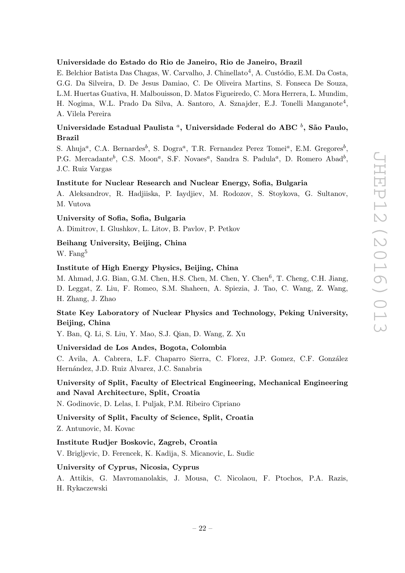#### Universidade do Estado do Rio de Janeiro, Rio de Janeiro, Brazil

E. Belchior Batista Das Chagas, W. Carvalho, J. Chinellato<sup>4</sup>, A. Custódio, E.M. Da Costa, G.G. Da Silveira, D. De Jesus Damiao, C. De Oliveira Martins, S. Fonseca De Souza, L.M. Huertas Guativa, H. Malbouisson, D. Matos Figueiredo, C. Mora Herrera, L. Mundim, H. Nogima, W.L. Prado Da Silva, A. Santoro, A. Sznajder, E.J. Tonelli Manganote<sup>4</sup>, A. Vilela Pereira

## Universidade Estadual Paulista <sup>a</sup>, Universidade Federal do ABC  $^b$ , São Paulo, Brazil

S. Ahuja<sup>a</sup>, C.A. Bernardes<sup>b</sup>, S. Dogra<sup>a</sup>, T.R. Fernandez Perez Tomei<sup>a</sup>, E.M. Gregores<sup>b</sup>, P.G. Mercadante<sup>b</sup>, C.S. Moon<sup>a</sup>, S.F. Novaes<sup>a</sup>, Sandra S. Padula<sup>a</sup>, D. Romero Abad<sup>b</sup>, J.C. Ruiz Vargas

#### Institute for Nuclear Research and Nuclear Energy, Sofia, Bulgaria

A. Aleksandrov, R. Hadjiiska, P. Iaydjiev, M. Rodozov, S. Stoykova, G. Sultanov, M. Vutova

#### University of Sofia, Sofia, Bulgaria

A. Dimitrov, I. Glushkov, L. Litov, B. Pavlov, P. Petkov

# Beihang University, Beijing, China

W. Fang<sup>5</sup>

## Institute of High Energy Physics, Beijing, China

M. Ahmad, J.G. Bian, G.M. Chen, H.S. Chen, M. Chen, Y. Chen<sup>6</sup>, T. Cheng, C.H. Jiang, D. Leggat, Z. Liu, F. Romeo, S.M. Shaheen, A. Spiezia, J. Tao, C. Wang, Z. Wang, H. Zhang, J. Zhao

## State Key Laboratory of Nuclear Physics and Technology, Peking University, Beijing, China

Y. Ban, Q. Li, S. Liu, Y. Mao, S.J. Qian, D. Wang, Z. Xu

### Universidad de Los Andes, Bogota, Colombia

C. Avila, A. Cabrera, L.F. Chaparro Sierra, C. Florez, J.P. Gomez, C.F. González Hernández, J.D. Ruiz Alvarez, J.C. Sanabria

## University of Split, Faculty of Electrical Engineering, Mechanical Engineering and Naval Architecture, Split, Croatia

N. Godinovic, D. Lelas, I. Puljak, P.M. Ribeiro Cipriano

### University of Split, Faculty of Science, Split, Croatia

Z. Antunovic, M. Kovac

Institute Rudjer Boskovic, Zagreb, Croatia

V. Brigljevic, D. Ferencek, K. Kadija, S. Micanovic, L. Sudic

#### University of Cyprus, Nicosia, Cyprus

A. Attikis, G. Mavromanolakis, J. Mousa, C. Nicolaou, F. Ptochos, P.A. Razis, H. Rykaczewski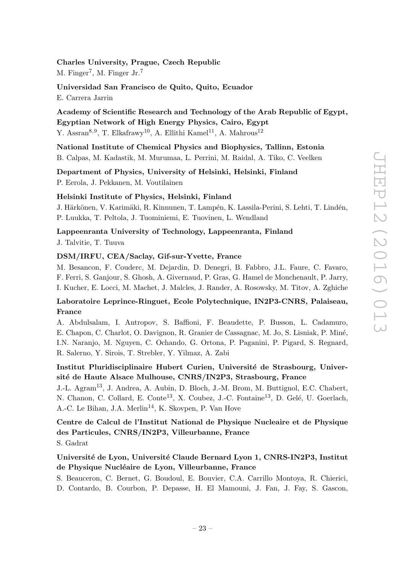## Charles University, Prague, Czech Republic

M. Finger<sup>7</sup>, M. Finger Jr.<sup>7</sup>

Universidad San Francisco de Quito, Quito, Ecuador E. Carrera Jarrin

## Academy of Scientific Research and Technology of the Arab Republic of Egypt, Egyptian Network of High Energy Physics, Cairo, Egypt Y. Assran $^{8,9}$ , T. Elkafrawy<sup>10</sup>, A. Ellithi Kamel<sup>11</sup>, A. Mahrous<sup>12</sup>

National Institute of Chemical Physics and Biophysics, Tallinn, Estonia B. Calpas, M. Kadastik, M. Murumaa, L. Perrini, M. Raidal, A. Tiko, C. Veelken

Department of Physics, University of Helsinki, Helsinki, Finland

P. Eerola, J. Pekkanen, M. Voutilainen

## Helsinki Institute of Physics, Helsinki, Finland

J. Härkönen, V. Karimäki, R. Kinnunen, T. Lampén, K. Lassila-Perini, S. Lehti, T. Lindén, P. Luukka, T. Peltola, J. Tuominiemi, E. Tuovinen, L. Wendland

Lappeenranta University of Technology, Lappeenranta, Finland J. Talvitie, T. Tuuva

## DSM/IRFU, CEA/Saclay, Gif-sur-Yvette, France

M. Besancon, F. Couderc, M. Dejardin, D. Denegri, B. Fabbro, J.L. Faure, C. Favaro, F. Ferri, S. Ganjour, S. Ghosh, A. Givernaud, P. Gras, G. Hamel de Monchenault, P. Jarry, I. Kucher, E. Locci, M. Machet, J. Malcles, J. Rander, A. Rosowsky, M. Titov, A. Zghiche

## Laboratoire Leprince-Ringuet, Ecole Polytechnique, IN2P3-CNRS, Palaiseau, France

A. Abdulsalam, I. Antropov, S. Baffioni, F. Beaudette, P. Busson, L. Cadamuro, E. Chapon, C. Charlot, O. Davignon, R. Granier de Cassagnac, M. Jo, S. Lisniak, P. Miné, I.N. Naranjo, M. Nguyen, C. Ochando, G. Ortona, P. Paganini, P. Pigard, S. Regnard, R. Salerno, Y. Sirois, T. Strebler, Y. Yilmaz, A. Zabi

## Institut Pluridisciplinaire Hubert Curien, Université de Strasbourg, Université de Haute Alsace Mulhouse, CNRS/IN2P3, Strasbourg, France

J.-L. Agram13, J. Andrea, A. Aubin, D. Bloch, J.-M. Brom, M. Buttignol, E.C. Chabert, N. Chanon, C. Collard, E. Conte<sup>13</sup>, X. Coubez, J.-C. Fontaine<sup>13</sup>, D. Gelé, U. Goerlach, A.-C. Le Bihan, J.A. Merlin<sup>14</sup>, K. Skovpen, P. Van Hove

## Centre de Calcul de l'Institut National de Physique Nucleaire et de Physique des Particules, CNRS/IN2P3, Villeurbanne, France S. Gadrat

## Université de Lyon, Université Claude Bernard Lyon 1, CNRS-IN2P3, Institut de Physique Nucléaire de Lyon, Villeurbanne, France

S. Beauceron, C. Bernet, G. Boudoul, E. Bouvier, C.A. Carrillo Montoya, R. Chierici, D. Contardo, B. Courbon, P. Depasse, H. El Mamouni, J. Fan, J. Fay, S. Gascon,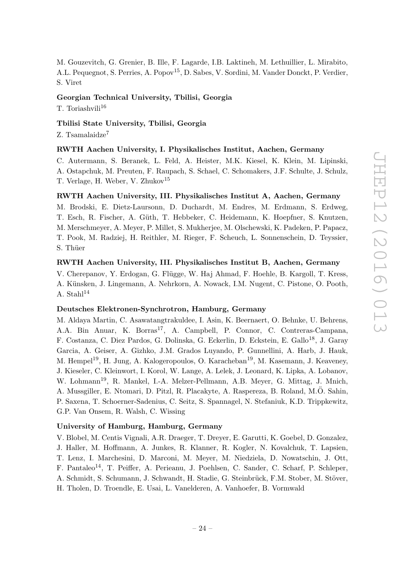M. Gouzevitch, G. Grenier, B. Ille, F. Lagarde, I.B. Laktineh, M. Lethuillier, L. Mirabito, A.L. Pequegnot, S. Perries, A. Popov<sup>15</sup>, D. Sabes, V. Sordini, M. Vander Donckt, P. Verdier, S. Viret

#### Georgian Technical University, Tbilisi, Georgia

T. Toriashvili $^{16}$ 

## Tbilisi State University, Tbilisi, Georgia

Z. Tsamalaidze<sup>7</sup>

## RWTH Aachen University, I. Physikalisches Institut, Aachen, Germany

C. Autermann, S. Beranek, L. Feld, A. Heister, M.K. Kiesel, K. Klein, M. Lipinski, A. Ostapchuk, M. Preuten, F. Raupach, S. Schael, C. Schomakers, J.F. Schulte, J. Schulz, T. Verlage, H. Weber, V. Zhukov<sup>15</sup>

#### RWTH Aachen University, III. Physikalisches Institut A, Aachen, Germany

M. Brodski, E. Dietz-Laursonn, D. Duchardt, M. Endres, M. Erdmann, S. Erdweg, T. Esch, R. Fischer, A. G¨uth, T. Hebbeker, C. Heidemann, K. Hoepfner, S. Knutzen, M. Merschmeyer, A. Meyer, P. Millet, S. Mukherjee, M. Olschewski, K. Padeken, P. Papacz, T. Pook, M. Radziej, H. Reithler, M. Rieger, F. Scheuch, L. Sonnenschein, D. Teyssier, S. Thüer

#### RWTH Aachen University, III. Physikalisches Institut B, Aachen, Germany

V. Cherepanov, Y. Erdogan, G. Flügge, W. Haj Ahmad, F. Hoehle, B. Kargoll, T. Kress, A. Künsken, J. Lingemann, A. Nehrkorn, A. Nowack, I.M. Nugent, C. Pistone, O. Pooth, A. Stahl $^{14}$ 

## Deutsches Elektronen-Synchrotron, Hamburg, Germany

M. Aldaya Martin, C. Asawatangtrakuldee, I. Asin, K. Beernaert, O. Behnke, U. Behrens, A.A. Bin Anuar, K. Borras<sup>17</sup>, A. Campbell, P. Connor, C. Contreras-Campana, F. Costanza, C. Diez Pardos, G. Dolinska, G. Eckerlin, D. Eckstein, E. Gallo<sup>18</sup>, J. Garay Garcia, A. Geiser, A. Gizhko, J.M. Grados Luyando, P. Gunnellini, A. Harb, J. Hauk, M. Hempel<sup>19</sup>, H. Jung, A. Kalogeropoulos, O. Karacheban<sup>19</sup>, M. Kasemann, J. Keaveney, J. Kieseler, C. Kleinwort, I. Korol, W. Lange, A. Lelek, J. Leonard, K. Lipka, A. Lobanov, W. Lohmann19, R. Mankel, I.-A. Melzer-Pellmann, A.B. Meyer, G. Mittag, J. Mnich, A. Mussgiller, E. Ntomari, D. Pitzl, R. Placakyte, A. Raspereza, B. Roland, M.O. Sahin, ¨ P. Saxena, T. Schoerner-Sadenius, C. Seitz, S. Spannagel, N. Stefaniuk, K.D. Trippkewitz, G.P. Van Onsem, R. Walsh, C. Wissing

#### University of Hamburg, Hamburg, Germany

V. Blobel, M. Centis Vignali, A.R. Draeger, T. Dreyer, E. Garutti, K. Goebel, D. Gonzalez, J. Haller, M. Hoffmann, A. Junkes, R. Klanner, R. Kogler, N. Kovalchuk, T. Lapsien, T. Lenz, I. Marchesini, D. Marconi, M. Meyer, M. Niedziela, D. Nowatschin, J. Ott, F. Pantaleo<sup>14</sup>, T. Peiffer, A. Perieanu, J. Poehlsen, C. Sander, C. Scharf, P. Schleper, A. Schmidt, S. Schumann, J. Schwandt, H. Stadie, G. Steinbrück, F.M. Stober, M. Stöver, H. Tholen, D. Troendle, E. Usai, L. Vanelderen, A. Vanhoefer, B. Vormwald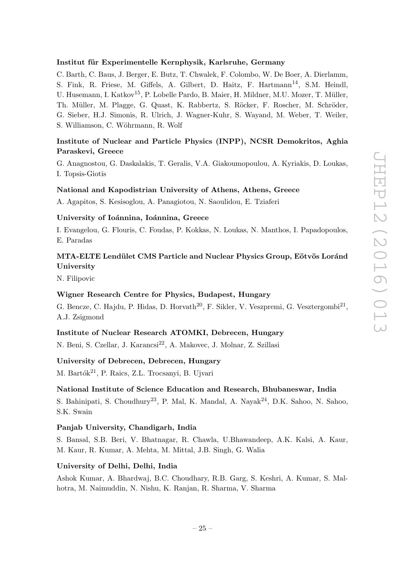### Institut für Experimentelle Kernphysik, Karlsruhe, Germany

C. Barth, C. Baus, J. Berger, E. Butz, T. Chwalek, F. Colombo, W. De Boer, A. Dierlamm, S. Fink, R. Friese, M. Giffels, A. Gilbert, D. Haitz, F. Hartmann14, S.M. Heindl, U. Husemann, I. Katkov<sup>15</sup>, P. Lobelle Pardo, B. Maier, H. Mildner, M.U. Mozer, T. Müller, Th. Müller, M. Plagge, G. Quast, K. Rabbertz, S. Röcker, F. Roscher, M. Schröder, G. Sieber, H.J. Simonis, R. Ulrich, J. Wagner-Kuhr, S. Wayand, M. Weber, T. Weiler, S. Williamson, C. Wöhrmann, R. Wolf

## Institute of Nuclear and Particle Physics (INPP), NCSR Demokritos, Aghia Paraskevi, Greece

G. Anagnostou, G. Daskalakis, T. Geralis, V.A. Giakoumopoulou, A. Kyriakis, D. Loukas, I. Topsis-Giotis

## National and Kapodistrian University of Athens, Athens, Greece

A. Agapitos, S. Kesisoglou, A. Panagiotou, N. Saoulidou, E. Tziaferi

#### University of Ioánnina, Ioánnina, Greece

I. Evangelou, G. Flouris, C. Foudas, P. Kokkas, N. Loukas, N. Manthos, I. Papadopoulos, E. Paradas

## MTA-ELTE Lendület CMS Particle and Nuclear Physics Group, Eötvös Loránd University

N. Filipovic

## Wigner Research Centre for Physics, Budapest, Hungary

G. Bencze, C. Hajdu, P. Hidas, D. Horvath<sup>20</sup>, F. Sikler, V. Veszpremi, G. Vesztergombi<sup>21</sup>, A.J. Zsigmond

## Institute of Nuclear Research ATOMKI, Debrecen, Hungary

N. Beni, S. Czellar, J. Karancsi<sup>22</sup>, A. Makovec, J. Molnar, Z. Szillasi

## University of Debrecen, Debrecen, Hungary

M. Bartók<sup>21</sup>, P. Raics, Z.L. Trocsanyi, B. Ujvari

#### National Institute of Science Education and Research, Bhubaneswar, India

S. Bahinipati, S. Choudhury<sup>23</sup>, P. Mal, K. Mandal, A. Nayak<sup>24</sup>, D.K. Sahoo, N. Sahoo, S.K. Swain

## Panjab University, Chandigarh, India

S. Bansal, S.B. Beri, V. Bhatnagar, R. Chawla, U.Bhawandeep, A.K. Kalsi, A. Kaur, M. Kaur, R. Kumar, A. Mehta, M. Mittal, J.B. Singh, G. Walia

## University of Delhi, Delhi, India

Ashok Kumar, A. Bhardwaj, B.C. Choudhary, R.B. Garg, S. Keshri, A. Kumar, S. Malhotra, M. Naimuddin, N. Nishu, K. Ranjan, R. Sharma, V. Sharma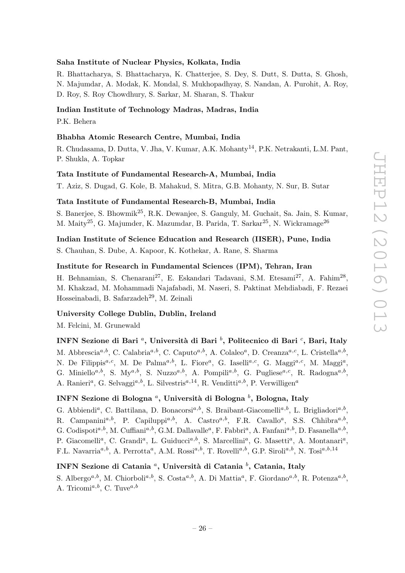## Saha Institute of Nuclear Physics, Kolkata, India

R. Bhattacharya, S. Bhattacharya, K. Chatterjee, S. Dey, S. Dutt, S. Dutta, S. Ghosh, N. Majumdar, A. Modak, K. Mondal, S. Mukhopadhyay, S. Nandan, A. Purohit, A. Roy, D. Roy, S. Roy Chowdhury, S. Sarkar, M. Sharan, S. Thakur

### Indian Institute of Technology Madras, Madras, India

P.K. Behera

## Bhabha Atomic Research Centre, Mumbai, India

R. Chudasama, D. Dutta, V. Jha, V. Kumar, A.K. Mohanty<sup>14</sup>, P.K. Netrakanti, L.M. Pant, P. Shukla, A. Topkar

#### Tata Institute of Fundamental Research-A, Mumbai, India

T. Aziz, S. Dugad, G. Kole, B. Mahakud, S. Mitra, G.B. Mohanty, N. Sur, B. Sutar

#### Tata Institute of Fundamental Research-B, Mumbai, India

S. Banerjee, S. Bhowmik25, R.K. Dewanjee, S. Ganguly, M. Guchait, Sa. Jain, S. Kumar, M. Maity<sup>25</sup>, G. Majumder, K. Mazumdar, B. Parida, T. Sarkar<sup>25</sup>, N. Wickramage<sup>26</sup>

#### Indian Institute of Science Education and Research (IISER), Pune, India

S. Chauhan, S. Dube, A. Kapoor, K. Kothekar, A. Rane, S. Sharma

## Institute for Research in Fundamental Sciences (IPM), Tehran, Iran

H. Behnamian, S. Chenarani<sup>27</sup>, E. Eskandari Tadavani, S.M. Etesami<sup>27</sup>, A. Fahim<sup>28</sup>, M. Khakzad, M. Mohammadi Najafabadi, M. Naseri, S. Paktinat Mehdiabadi, F. Rezaei Hosseinabadi, B. Safarzadeh<sup>29</sup>, M. Zeinali

### University College Dublin, Dublin, Ireland

M. Felcini, M. Grunewald

## INFN Sezione di Bari <sup>a</sup>, Università di Bari  $^b$ , Politecnico di Bari  $^c$ , Bari, Italy

M. Abbrescia<sup>a,b</sup>, C. Calabria<sup>a,b</sup>, C. Caputo<sup>a,b</sup>, A. Colaleo<sup>a</sup>, D. Creanza<sup>a,c</sup>, L. Cristella<sup>a,b</sup>, N. De Filippis<sup>a,c</sup>, M. De Palma<sup>a,b</sup>, L. Fiore<sup>a</sup>, G. Iaselli<sup>a,c</sup>, G. Maggi<sup>a,c</sup>, M. Maggi<sup>a</sup>, G. Miniello<sup>a,b</sup>, S. My<sup>a,b</sup>, S. Nuzzo<sup>a,b</sup>, A. Pompili<sup>a,b</sup>, G. Pugliese<sup>a,c</sup>, R. Radogna<sup>a,b</sup>, A. Ranieri<sup>a</sup>, G. Selvaggi<sup>a,b</sup>, L. Silvestris<sup>a,14</sup>, R. Venditti<sup>a,b</sup>, P. Verwilligen<sup>a</sup>

## INFN Sezione di Bologna  $^a,$  Università di Bologna  $^b,$  Bologna, Italy

G. Abbiendi<sup>a</sup>, C. Battilana, D. Bonacorsi<sup>a,b</sup>, S. Braibant-Giacomelli<sup>a,b</sup>, L. Brigliadori<sup>a,b</sup>, R. Campanini<sup>a,b</sup>, P. Capiluppi<sup>a,b</sup>, A. Castro<sup>a,b</sup>, F.R. Cavallo<sup>a</sup>, S.S. Chhibra<sup>a,b</sup>, G. Codispoti<sup>a,b</sup>, M. Cuffiani<sup>a,b</sup>, G.M. Dallavalle<sup>a</sup>, F. Fabbri<sup>a</sup>, A. Fanfani<sup>a,b</sup>, D. Fasanella<sup>a,b</sup>, P. Giacomelli<sup>a</sup>, C. Grandi<sup>a</sup>, L. Guiducci<sup>a,b</sup>, S. Marcellini<sup>a</sup>, G. Masetti<sup>a</sup>, A. Montanari<sup>a</sup>, F.L. Navarria $a,b$ , A. Perrotta $^a$ , A.M. Rossi $^{a,b}$ , T. Rovelli $^{a,b}$ , G.P. Siroli $^{a,b}$ , N. Tosi $^{a,b,14}$ 

## INFN Sezione di Catania <sup>a</sup>, Università di Catania  $^b,$  Catania, Italy

S. Albergo<sup>a,b</sup>, M. Chiorboli<sup>a,b</sup>, S. Costa<sup>a,b</sup>, A. Di Mattia<sup>a</sup>, F. Giordano<sup>a,b</sup>, R. Potenza<sup>a,b</sup>, A. Tricomi<sup>a,b</sup>, C. Tuve<sup>a,b</sup>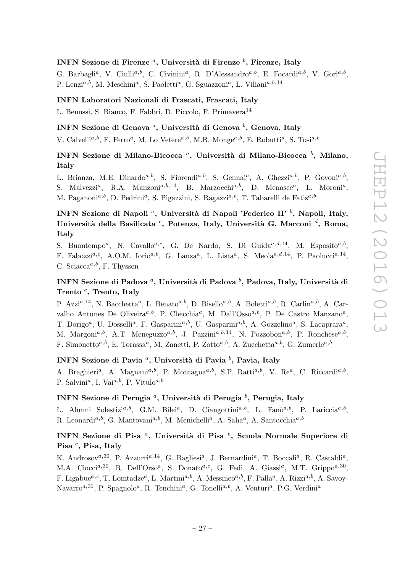## INFN Sezione di Firenze  $^a,$  Università di Firenze  $^b,$  Firenze, Italy

G. Barbagli<sup>a</sup>, V. Ciulli<sup>a,b</sup>, C. Civinini<sup>a</sup>, R. D'Alessandro<sup>a,b</sup>, E. Focardi<sup>a,b</sup>, V. Gori<sup>a,b</sup>, P. Lenzi<sup>a,b</sup>, M. Meschini<sup>a</sup>, S. Paoletti<sup>a</sup>, G. Sguazzoni<sup>a</sup>, L. Viliani<sup>a,b,14</sup>

## INFN Laboratori Nazionali di Frascati, Frascati, Italy

L. Benussi, S. Bianco, F. Fabbri, D. Piccolo, F. Primavera<sup>14</sup>

## INFN Sezione di Genova <sup>a</sup>, Università di Genova  $^b,$  Genova, Italy

V. Calvelli<sup>a,b</sup>, F. Ferro<sup>a</sup>, M. Lo Vetere<sup>a,b</sup>, M.R. Monge<sup>a,b</sup>, E. Robutti<sup>a</sup>, S. Tosi<sup>a,b</sup>

## INFN Sezione di Milano-Bicocca <sup>a</sup>, Università di Milano-Bicocca <sup>b</sup>, Milano, Italy

L. Brianza, M.E. Dinardo<sup>a,b</sup>, S. Fiorendi<sup>a,b</sup>, S. Gennai<sup>a</sup>, A. Ghezzi<sup>a,b</sup>, P. Govoni<sup>a,b</sup>,

S. Malvezzi<sup>a</sup>, R.A. Manzoni<sup>a,b,14</sup>, B. Marzocchi<sup>a,b</sup>, D. Menasce<sup>a</sup>, L. Moroni<sup>a</sup>, M. Paganoni<sup>a,b</sup>, D. Pedrini<sup>a</sup>, S. Pigazzini, S. Ragazzi<sup>a,b</sup>, T. Tabarelli de Fatis<sup>a,b</sup>

## INFN Sezione di Napoli <sup>a</sup>, Università di Napoli 'Federico II'  $^b$ , Napoli, Italy, Università della Basilicata  $^c$ , Potenza, Italy, Università G. Marconi  $^d$ , Roma, Italy

S. Buontempo<sup>a</sup>, N. Cavallo<sup>a,c</sup>, G. De Nardo, S. Di Guida<sup>a,d,14</sup>, M. Esposito<sup>a,b</sup>, F. Fabozzi<sup>a,c</sup>, A.O.M. Iorio<sup>a,b</sup>, G. Lanza<sup>a</sup>, L. Lista<sup>a</sup>, S. Meola<sup>a,d,14</sup>, P. Paolucci<sup>a,14</sup>, C. Sciacca<sup> $a,b$ </sup>, F. Thyssen

## INFN Sezione di Padova <sup>a</sup>, Università di Padova  $^b$ , Padova, Italy, Università di  $Trento<sup>c</sup>$ , Trento, Italy

P. Azzi<sup>a,14</sup>, N. Bacchetta<sup>a</sup>, L. Benato<sup>a,b</sup>, D. Bisello<sup>a,b</sup>, A. Boletti<sup>a,b</sup>, R. Carlin<sup>a,b</sup>, A. Carvalho Antunes De Oliveira<sup>a,b</sup>, P. Checchia<sup>a</sup>, M. Dall'Osso<sup>a,b</sup>, P. De Castro Manzano<sup>a</sup>, T. Dorigo<sup>a</sup>, U. Dosselli<sup>a</sup>, F. Gasparini<sup>a,b</sup>, U. Gasparini<sup>a,b</sup>, A. Gozzelino<sup>a</sup>, S. Lacaprara<sup>a</sup>, M. Margoni<sup>a,b</sup>, A.T. Meneguzzo<sup>a,b</sup>, J. Pazzini<sup>a,b,14</sup>, N. Pozzobon<sup>a,b</sup>, P. Ronchese<sup>a,b</sup>, F. Simonetto<sup>a,b</sup>, E. Torassa<sup>a</sup>, M. Zanetti, P. Zotto<sup>a,b</sup>, A. Zucchetta<sup>a,b</sup>, G. Zumerle<sup>a,b</sup>

## INFN Sezione di Pavia  $^a,$  Università di Pavia  $^b,$  Pavia, Italy

A. Braghieri<sup>a</sup>, A. Magnani<sup>a,b</sup>, P. Montagna<sup>a,b</sup>, S.P. Ratti<sup>a,b</sup>, V. Re<sup>a</sup>, C. Riccardi<sup>a,b</sup>, P. Salvini<sup>a</sup>, I. Vai<sup> $a,b$ </sup>, P. Vitulo $a,b$ 

## INFN Sezione di Perugia <sup>a</sup>, Università di Perugia  $^b$ , Perugia, Italy

L. Alunni Solestizi<sup>a,b</sup>, G.M. Bilei<sup>a</sup>, D. Ciangottini<sup>a,b</sup>, L. Fanò<sup>a,b</sup>, P. Lariccia<sup>a,b</sup>, R. Leonardi<sup>a, b</sup>, G. Mantovani<sup>a, b</sup>, M. Menichelli<sup>a</sup>, A. Saha<sup>a</sup>, A. Santocchia<sup>a, b</sup>

## INFN Sezione di Pisa <sup>a</sup>, Università di Pisa <sup>b</sup>, Scuola Normale Superiore di Pisa <sup>c</sup>, Pisa, Italy

K. Androsov<sup>a, 30</sup>, P. Azzurri<sup>a, 14</sup>, G. Bagliesi<sup>a</sup>, J. Bernardini<sup>a</sup>, T. Boccali<sup>a</sup>, R. Castaldi<sup>a</sup>, M.A. Ciocci<sup>a,30</sup>, R. Dell'Orso<sup>a</sup>, S. Donato<sup>a,c</sup>, G. Fedi, A. Giassi<sup>a</sup>, M.T. Grippo<sup>a,30</sup>, F. Ligabue<sup>a, c</sup>, T. Lomtadze<sup>a</sup>, L. Martini<sup>a, b</sup>, A. Messineo<sup>a, b</sup>, F. Palla<sup>a</sup>, A. Rizzi<sup>a, b</sup>, A. Savoy-Navarro<sup>a,31</sup>, P. Spagnolo<sup>a</sup>, R. Tenchini<sup>a</sup>, G. Tonelli<sup>a,b</sup>, A. Venturi<sup>a</sup>, P.G. Verdini<sup>a</sup>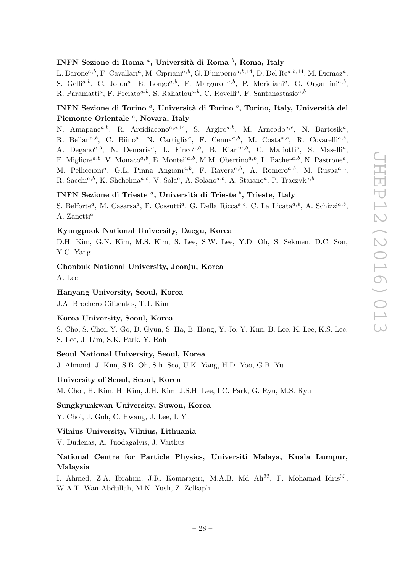## INFN Sezione di Roma  $^a,$  Università di Roma  $^b,$  Roma, Italy

L. Barone<sup>a, b</sup>, F. Cavallari<sup>a</sup>, M. Cipriani<sup>a, b</sup>, G. D'imperio<sup>a, b, 14</sup>, D. Del Re<sup>a, b, 14</sup>, M. Diemoz<sup>a</sup>, S. Gelli<sup>a,b</sup>, C. Jorda<sup>a</sup>, E. Longo<sup>a,b</sup>, F. Margaroli<sup>a,b</sup>, P. Meridiani<sup>a</sup>, G. Organtini<sup>a,b</sup>, R. Paramatti<sup>a</sup>, F. Preiato<sup>a,b</sup>, S. Rahatlou<sup>a,b</sup>, C. Rovelli<sup>a</sup>, F. Santanastasio<sup>a,b</sup>

## INFN Sezione di Torino <sup>a</sup>, Università di Torino  $^b,$  Torino, Italy, Università del Piemonte Orientale  $^c$ , Novara, Italy

N. Amapane<sup>a,b</sup>, R. Arcidiacono<sup>a,c,14</sup>, S. Argiro<sup>a,b</sup>, M. Arneodo<sup>a,c</sup>, N. Bartosik<sup>a</sup>, R. Bellan<sup>a,b</sup>, C. Biino<sup>a</sup>, N. Cartiglia<sup>a</sup>, F. Cenna<sup>a,b</sup>, M. Costa<sup>a,b</sup>, R. Covarelli<sup>a,b</sup>, A. Degano<sup>a,b</sup>, N. Demaria<sup>a</sup>, L. Finco<sup>a,b</sup>, B. Kiani<sup>a,b</sup>, C. Mariotti<sup>a</sup>, S. Maselli<sup>a</sup>, E. Migliore<sup>a,b</sup>, V. Monaco<sup>a,b</sup>, E. Monteil<sup>a,b</sup>, M.M. Obertino<sup>a,b</sup>, L. Pacher<sup>a,b</sup>, N. Pastrone<sup>a</sup>, M. Pelliccioni<sup>a</sup>, G.L. Pinna Angioni<sup>a,b</sup>, F. Ravera<sup>a,b</sup>, A. Romero<sup>a,b</sup>, M. Ruspa<sup>a,c</sup>, R. Sacchi<sup>a,b</sup>, K. Shchelina<sup>a,b</sup>, V. Sola<sup>a</sup>, A. Solano<sup>a,b</sup>, A. Staiano<sup>a</sup>, P. Traczyk<sup>a,b</sup>

## INFN Sezione di Trieste <sup>a</sup>, Università di Trieste  $^b$ , Trieste, Italy

S. Belforte<sup>a</sup>, M. Casarsa<sup>a</sup>, F. Cossutti<sup>a</sup>, G. Della Ricca<sup>a,b</sup>, C. La Licata<sup>a,b</sup>, A. Schizzi<sup>a,b</sup>, A. Zanetti<sup>a</sup>

### Kyungpook National University, Daegu, Korea

D.H. Kim, G.N. Kim, M.S. Kim, S. Lee, S.W. Lee, Y.D. Oh, S. Sekmen, D.C. Son, Y.C. Yang

Chonbuk National University, Jeonju, Korea

A. Lee

### Hanyang University, Seoul, Korea

J.A. Brochero Cifuentes, T.J. Kim

### Korea University, Seoul, Korea

S. Cho, S. Choi, Y. Go, D. Gyun, S. Ha, B. Hong, Y. Jo, Y. Kim, B. Lee, K. Lee, K.S. Lee, S. Lee, J. Lim, S.K. Park, Y. Roh

### Seoul National University, Seoul, Korea

J. Almond, J. Kim, S.B. Oh, S.h. Seo, U.K. Yang, H.D. Yoo, G.B. Yu

#### University of Seoul, Seoul, Korea

M. Choi, H. Kim, H. Kim, J.H. Kim, J.S.H. Lee, I.C. Park, G. Ryu, M.S. Ryu

### Sungkyunkwan University, Suwon, Korea

Y. Choi, J. Goh, C. Hwang, J. Lee, I. Yu

## Vilnius University, Vilnius, Lithuania

V. Dudenas, A. Juodagalvis, J. Vaitkus

## National Centre for Particle Physics, Universiti Malaya, Kuala Lumpur, Malaysia

I. Ahmed, Z.A. Ibrahim, J.R. Komaragiri, M.A.B. Md Ali<sup>32</sup>, F. Mohamad Idris<sup>33</sup>, W.A.T. Wan Abdullah, M.N. Yusli, Z. Zolkapli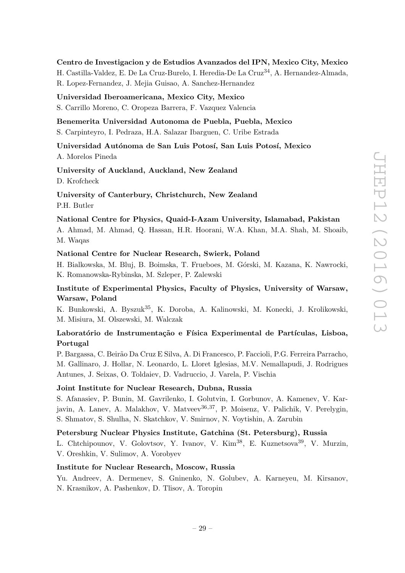#### Centro de Investigacion y de Estudios Avanzados del IPN, Mexico City, Mexico

H. Castilla-Valdez, E. De La Cruz-Burelo, I. Heredia-De La Cruz<sup>34</sup>, A. Hernandez-Almada, R. Lopez-Fernandez, J. Mejia Guisao, A. Sanchez-Hernandez

#### Universidad Iberoamericana, Mexico City, Mexico

S. Carrillo Moreno, C. Oropeza Barrera, F. Vazquez Valencia

#### Benemerita Universidad Autonoma de Puebla, Puebla, Mexico

S. Carpinteyro, I. Pedraza, H.A. Salazar Ibarguen, C. Uribe Estrada

## Universidad Autónoma de San Luis Potosí, San Luis Potosí, Mexico

A. Morelos Pineda

### University of Auckland, Auckland, New Zealand

D. Krofcheck

# University of Canterbury, Christchurch, New Zealand

P.H. Butler

### National Centre for Physics, Quaid-I-Azam University, Islamabad, Pakistan

A. Ahmad, M. Ahmad, Q. Hassan, H.R. Hoorani, W.A. Khan, M.A. Shah, M. Shoaib, M. Waqas

#### National Centre for Nuclear Research, Swierk, Poland

H. Bialkowska, M. Bluj, B. Boimska, T. Frueboes, M. G´orski, M. Kazana, K. Nawrocki, K. Romanowska-Rybinska, M. Szleper, P. Zalewski

## Institute of Experimental Physics, Faculty of Physics, University of Warsaw, Warsaw, Poland

K. Bunkowski, A. Byszuk35, K. Doroba, A. Kalinowski, M. Konecki, J. Krolikowski, M. Misiura, M. Olszewski, M. Walczak

## Laboratório de Instrumentação e Física Experimental de Partículas, Lisboa, Portugal

P. Bargassa, C. Beirão Da Cruz E Silva, A. Di Francesco, P. Faccioli, P.G. Ferreira Parracho, M. Gallinaro, J. Hollar, N. Leonardo, L. Lloret Iglesias, M.V. Nemallapudi, J. Rodrigues Antunes, J. Seixas, O. Toldaiev, D. Vadruccio, J. Varela, P. Vischia

#### Joint Institute for Nuclear Research, Dubna, Russia

S. Afanasiev, P. Bunin, M. Gavrilenko, I. Golutvin, I. Gorbunov, A. Kamenev, V. Karjavin, A. Lanev, A. Malakhov, V. Matveev<sup>36,37</sup>, P. Moisenz, V. Palichik, V. Perelygin, S. Shmatov, S. Shulha, N. Skatchkov, V. Smirnov, N. Voytishin, A. Zarubin

#### Petersburg Nuclear Physics Institute, Gatchina (St. Petersburg), Russia

L. Chtchipounov, V. Golovtsov, Y. Ivanov, V. Kim<sup>38</sup>, E. Kuznetsova<sup>39</sup>, V. Murzin, V. Oreshkin, V. Sulimov, A. Vorobyev

#### Institute for Nuclear Research, Moscow, Russia

Yu. Andreev, A. Dermenev, S. Gninenko, N. Golubev, A. Karneyeu, M. Kirsanov, N. Krasnikov, A. Pashenkov, D. Tlisov, A. Toropin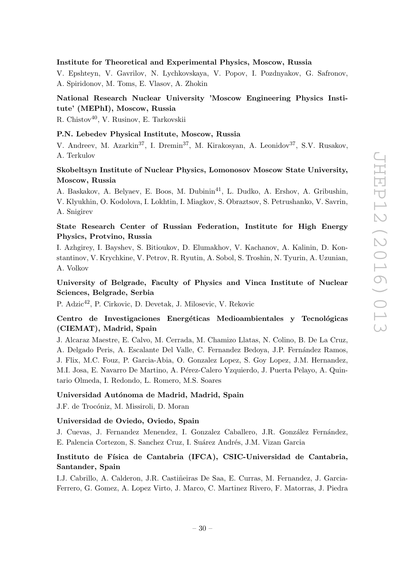### Institute for Theoretical and Experimental Physics, Moscow, Russia

V. Epshteyn, V. Gavrilov, N. Lychkovskaya, V. Popov, I. Pozdnyakov, G. Safronov, A. Spiridonov, M. Toms, E. Vlasov, A. Zhokin

## National Research Nuclear University 'Moscow Engineering Physics Institute' (MEPhI), Moscow, Russia

R. Chistov<sup>40</sup>, V. Rusinov, E. Tarkovskii

## P.N. Lebedev Physical Institute, Moscow, Russia

V. Andreev, M. Azarkin<sup>37</sup>, I. Dremin<sup>37</sup>, M. Kirakosyan, A. Leonidov<sup>37</sup>, S.V. Rusakov, A. Terkulov

## Skobeltsyn Institute of Nuclear Physics, Lomonosov Moscow State University, Moscow, Russia

A. Baskakov, A. Belyaev, E. Boos, M. Dubinin<sup>41</sup>, L. Dudko, A. Ershov, A. Gribushin, V. Klyukhin, O. Kodolova, I. Lokhtin, I. Miagkov, S. Obraztsov, S. Petrushanko, V. Savrin, A. Snigirev

## State Research Center of Russian Federation, Institute for High Energy Physics, Protvino, Russia

I. Azhgirey, I. Bayshev, S. Bitioukov, D. Elumakhov, V. Kachanov, A. Kalinin, D. Konstantinov, V. Krychkine, V. Petrov, R. Ryutin, A. Sobol, S. Troshin, N. Tyurin, A. Uzunian, A. Volkov

## University of Belgrade, Faculty of Physics and Vinca Institute of Nuclear Sciences, Belgrade, Serbia

P. Adzic42, P. Cirkovic, D. Devetak, J. Milosevic, V. Rekovic

## Centro de Investigaciones Energéticas Medioambientales y Tecnológicas (CIEMAT), Madrid, Spain

J. Alcaraz Maestre, E. Calvo, M. Cerrada, M. Chamizo Llatas, N. Colino, B. De La Cruz, A. Delgado Peris, A. Escalante Del Valle, C. Fernandez Bedoya, J.P. Fernández Ramos, J. Flix, M.C. Fouz, P. Garcia-Abia, O. Gonzalez Lopez, S. Goy Lopez, J.M. Hernandez, M.I. Josa, E. Navarro De Martino, A. Pérez-Calero Yzquierdo, J. Puerta Pelayo, A. Quintario Olmeda, I. Redondo, L. Romero, M.S. Soares

### Universidad Autónoma de Madrid, Madrid, Spain

J.F. de Trocóniz, M. Missiroli, D. Moran

### Universidad de Oviedo, Oviedo, Spain

J. Cuevas, J. Fernandez Menendez, I. Gonzalez Caballero, J.R. González Fernández, E. Palencia Cortezon, S. Sanchez Cruz, I. Suárez Andrés, J.M. Vizan Garcia

## Instituto de Física de Cantabria (IFCA), CSIC-Universidad de Cantabria, Santander, Spain

I.J. Cabrillo, A. Calderon, J.R. Castiñeiras De Saa, E. Curras, M. Fernandez, J. Garcia-Ferrero, G. Gomez, A. Lopez Virto, J. Marco, C. Martinez Rivero, F. Matorras, J. Piedra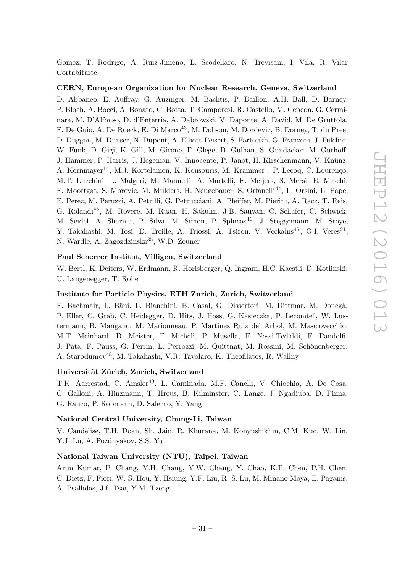Gomez, T. Rodrigo, A. Ruiz-Jimeno, L. Scodellaro, N. Trevisani, I. Vila, R. Vilar Cortabitarte

### CERN, European Organization for Nuclear Research, Geneva, Switzerland

D. Abbaneo, E. Auffray, G. Auzinger, M. Bachtis, P. Baillon, A.H. Ball, D. Barney, P. Bloch, A. Bocci, A. Bonato, C. Botta, T. Camporesi, R. Castello, M. Cepeda, G. Cerminara, M. D'Alfonso, D. d'Enterria, A. Dabrowski, V. Daponte, A. David, M. De Gruttola, F. De Guio, A. De Roeck, E. Di Marco<sup>43</sup>, M. Dobson, M. Dordevic, B. Dorney, T. du Pree, D. Duggan, M. Dünser, N. Dupont, A. Elliott-Peisert, S. Fartoukh, G. Franzoni, J. Fulcher, W. Funk, D. Gigi, K. Gill, M. Girone, F. Glege, D. Gulhan, S. Gundacker, M. Guthoff, J. Hammer, P. Harris, J. Hegeman, V. Innocente, P. Janot, H. Kirschenmann, V. Knünz, A. Kornmayer<sup>14</sup>, M.J. Kortelainen, K. Kousouris, M. Krammer<sup>1</sup>, P. Lecoq, C. Lourenço, M.T. Lucchini, L. Malgeri, M. Mannelli, A. Martelli, F. Meijers, S. Mersi, E. Meschi, F. Moortgat, S. Morovic, M. Mulders, H. Neugebauer, S. Orfanelli<sup>44</sup>, L. Orsini, L. Pape, E. Perez, M. Peruzzi, A. Petrilli, G. Petrucciani, A. Pfeiffer, M. Pierini, A. Racz, T. Reis, G. Rolandi<sup>45</sup>, M. Rovere, M. Ruan, H. Sakulin, J.B. Sauvan, C. Schäfer, C. Schwick, M. Seidel, A. Sharma, P. Silva, M. Simon, P. Sphicas<sup>46</sup>, J. Steggemann, M. Stoye, Y. Takahashi, M. Tosi, D. Treille, A. Triossi, A. Tsirou, V. Veckalns<sup>47</sup>, G.I. Veres<sup>21</sup>, N. Wardle, A. Zagozdzinska35, W.D. Zeuner

#### Paul Scherrer Institut, Villigen, Switzerland

W. Bertl, K. Deiters, W. Erdmann, R. Horisberger, Q. Ingram, H.C. Kaestli, D. Kotlinski, U. Langenegger, T. Rohe

#### Institute for Particle Physics, ETH Zurich, Zurich, Switzerland

F. Bachmair, L. Bäni, L. Bianchini, B. Casal, G. Dissertori, M. Dittmar, M. Donegà, P. Eller, C. Grab, C. Heidegger, D. Hits, J. Hoss, G. Kasieczka, P. Lecomte† , W. Lustermann, B. Mangano, M. Marionneau, P. Martinez Ruiz del Arbol, M. Masciovecchio, M.T. Meinhard, D. Meister, F. Micheli, P. Musella, F. Nessi-Tedaldi, F. Pandolfi, J. Pata, F. Pauss, G. Perrin, L. Perrozzi, M. Quittnat, M. Rossini, M. Schönenberger, A. Starodumov<sup>48</sup>, M. Takahashi, V.R. Tavolaro, K. Theofilatos, R. Wallny

#### Universität Zürich, Zurich, Switzerland

T.K. Aarrestad, C. Amsler<sup>49</sup>, L. Caminada, M.F. Canelli, V. Chiochia, A. De Cosa, C. Galloni, A. Hinzmann, T. Hreus, B. Kilminster, C. Lange, J. Ngadiuba, D. Pinna, G. Rauco, P. Robmann, D. Salerno, Y. Yang

#### National Central University, Chung-Li, Taiwan

V. Candelise, T.H. Doan, Sh. Jain, R. Khurana, M. Konyushikhin, C.M. Kuo, W. Lin, Y.J. Lu, A. Pozdnyakov, S.S. Yu

## National Taiwan University (NTU), Taipei, Taiwan

Arun Kumar, P. Chang, Y.H. Chang, Y.W. Chang, Y. Chao, K.F. Chen, P.H. Chen, C. Dietz, F. Fiori, W.-S. Hou, Y. Hsiung, Y.F. Liu, R.-S. Lu, M. Mi˜nano Moya, E. Paganis, A. Psallidas, J.f. Tsai, Y.M. Tzeng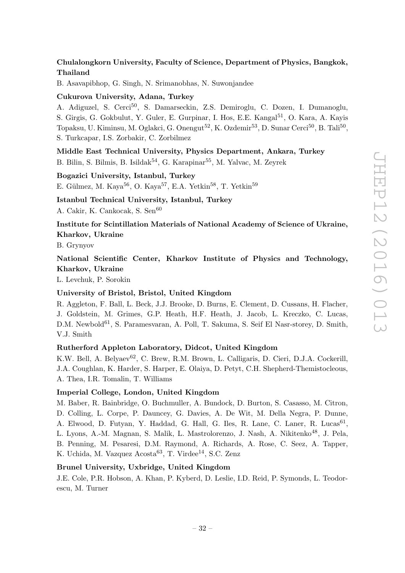## Chulalongkorn University, Faculty of Science, Department of Physics, Bangkok, Thailand

B. Asavapibhop, G. Singh, N. Srimanobhas, N. Suwonjandee

## Cukurova University, Adana, Turkey

A. Adiguzel, S. Cerci<sup>50</sup>, S. Damarseckin, Z.S. Demiroglu, C. Dozen, I. Dumanoglu, S. Girgis, G. Gokbulut, Y. Guler, E. Gurpinar, I. Hos, E.E. Kangal<sup>51</sup>, O. Kara, A. Kavis Topaksu, U. Kiminsu, M. Oglakci, G. Onengut<sup>52</sup>, K. Ozdemir<sup>53</sup>, D. Sunar Cerci<sup>50</sup>, B. Tali<sup>50</sup>, S. Turkcapar, I.S. Zorbakir, C. Zorbilmez

# Middle East Technical University, Physics Department, Ankara, Turkey

B. Bilin, S. Bilmis, B. Isildak<sup>54</sup>, G. Karapinar<sup>55</sup>, M. Yalvac, M. Zeyrek

Bogazici University, Istanbul, Turkey E. Gülmez, M. Kaya<sup>56</sup>, O. Kaya<sup>57</sup>, E.A. Yetkin<sup>58</sup>, T. Yetkin<sup>59</sup>

Istanbul Technical University, Istanbul, Turkey

A. Cakir, K. Cankocak, S. Sen<sup>60</sup>

Institute for Scintillation Materials of National Academy of Science of Ukraine, Kharkov, Ukraine

B. Grynyov

## National Scientific Center, Kharkov Institute of Physics and Technology, Kharkov, Ukraine

L. Levchuk, P. Sorokin

## University of Bristol, Bristol, United Kingdom

R. Aggleton, F. Ball, L. Beck, J.J. Brooke, D. Burns, E. Clement, D. Cussans, H. Flacher, J. Goldstein, M. Grimes, G.P. Heath, H.F. Heath, J. Jacob, L. Kreczko, C. Lucas, D.M. Newbold<sup>61</sup>, S. Paramesvaran, A. Poll, T. Sakuma, S. Seif El Nasr-storey, D. Smith, V.J. Smith

## Rutherford Appleton Laboratory, Didcot, United Kingdom

K.W. Bell, A. Belyaev<sup>62</sup>, C. Brew, R.M. Brown, L. Calligaris, D. Cieri, D.J.A. Cockerill, J.A. Coughlan, K. Harder, S. Harper, E. Olaiya, D. Petyt, C.H. Shepherd-Themistocleous, A. Thea, I.R. Tomalin, T. Williams

#### Imperial College, London, United Kingdom

M. Baber, R. Bainbridge, O. Buchmuller, A. Bundock, D. Burton, S. Casasso, M. Citron, D. Colling, L. Corpe, P. Dauncey, G. Davies, A. De Wit, M. Della Negra, P. Dunne, A. Elwood, D. Futyan, Y. Haddad, G. Hall, G. Iles, R. Lane, C. Laner, R. Lucas<sup>61</sup>, L. Lyons, A.-M. Magnan, S. Malik, L. Mastrolorenzo, J. Nash, A. Nikitenko<sup>48</sup>, J. Pela, B. Penning, M. Pesaresi, D.M. Raymond, A. Richards, A. Rose, C. Seez, A. Tapper, K. Uchida, M. Vazquez Acosta<sup>63</sup>, T. Virdee<sup>14</sup>, S.C. Zenz

## Brunel University, Uxbridge, United Kingdom

J.E. Cole, P.R. Hobson, A. Khan, P. Kyberd, D. Leslie, I.D. Reid, P. Symonds, L. Teodorescu, M. Turner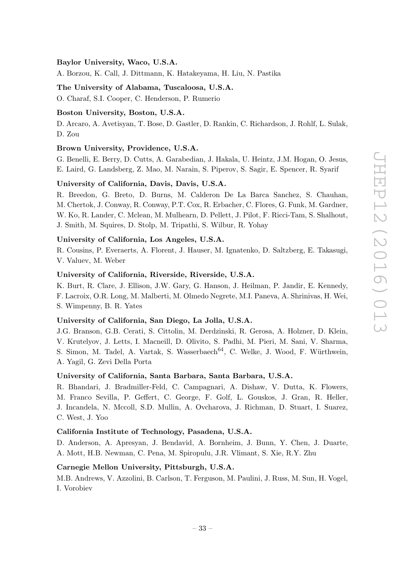#### Baylor University, Waco, U.S.A.

A. Borzou, K. Call, J. Dittmann, K. Hatakeyama, H. Liu, N. Pastika

#### The University of Alabama, Tuscaloosa, U.S.A.

O. Charaf, S.I. Cooper, C. Henderson, P. Rumerio

### Boston University, Boston, U.S.A.

D. Arcaro, A. Avetisyan, T. Bose, D. Gastler, D. Rankin, C. Richardson, J. Rohlf, L. Sulak, D. Zou

#### Brown University, Providence, U.S.A.

G. Benelli, E. Berry, D. Cutts, A. Garabedian, J. Hakala, U. Heintz, J.M. Hogan, O. Jesus, E. Laird, G. Landsberg, Z. Mao, M. Narain, S. Piperov, S. Sagir, E. Spencer, R. Syarif

## University of California, Davis, Davis, U.S.A.

R. Breedon, G. Breto, D. Burns, M. Calderon De La Barca Sanchez, S. Chauhan, M. Chertok, J. Conway, R. Conway, P.T. Cox, R. Erbacher, C. Flores, G. Funk, M. Gardner, W. Ko, R. Lander, C. Mclean, M. Mulhearn, D. Pellett, J. Pilot, F. Ricci-Tam, S. Shalhout, J. Smith, M. Squires, D. Stolp, M. Tripathi, S. Wilbur, R. Yohay

## University of California, Los Angeles, U.S.A.

R. Cousins, P. Everaerts, A. Florent, J. Hauser, M. Ignatenko, D. Saltzberg, E. Takasugi, V. Valuev, M. Weber

### University of California, Riverside, Riverside, U.S.A.

K. Burt, R. Clare, J. Ellison, J.W. Gary, G. Hanson, J. Heilman, P. Jandir, E. Kennedy, F. Lacroix, O.R. Long, M. Malberti, M. Olmedo Negrete, M.I. Paneva, A. Shrinivas, H. Wei, S. Wimpenny, B. R. Yates

#### University of California, San Diego, La Jolla, U.S.A.

J.G. Branson, G.B. Cerati, S. Cittolin, M. Derdzinski, R. Gerosa, A. Holzner, D. Klein, V. Krutelyov, J. Letts, I. Macneill, D. Olivito, S. Padhi, M. Pieri, M. Sani, V. Sharma, S. Simon, M. Tadel, A. Vartak, S. Wasserbaech<sup>64</sup>, C. Welke, J. Wood, F. Würthwein, A. Yagil, G. Zevi Della Porta

## University of California, Santa Barbara, Santa Barbara, U.S.A.

R. Bhandari, J. Bradmiller-Feld, C. Campagnari, A. Dishaw, V. Dutta, K. Flowers, M. Franco Sevilla, P. Geffert, C. George, F. Golf, L. Gouskos, J. Gran, R. Heller, J. Incandela, N. Mccoll, S.D. Mullin, A. Ovcharova, J. Richman, D. Stuart, I. Suarez, C. West, J. Yoo

## California Institute of Technology, Pasadena, U.S.A.

D. Anderson, A. Apresyan, J. Bendavid, A. Bornheim, J. Bunn, Y. Chen, J. Duarte, A. Mott, H.B. Newman, C. Pena, M. Spiropulu, J.R. Vlimant, S. Xie, R.Y. Zhu

## Carnegie Mellon University, Pittsburgh, U.S.A.

M.B. Andrews, V. Azzolini, B. Carlson, T. Ferguson, M. Paulini, J. Russ, M. Sun, H. Vogel, I. Vorobiev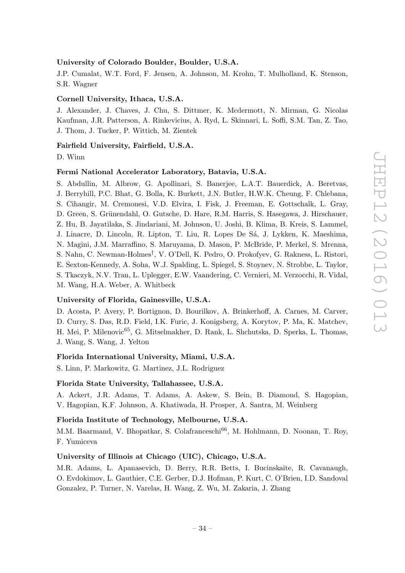### University of Colorado Boulder, Boulder, U.S.A.

J.P. Cumalat, W.T. Ford, F. Jensen, A. Johnson, M. Krohn, T. Mulholland, K. Stenson, S.R. Wagner

#### Cornell University, Ithaca, U.S.A.

J. Alexander, J. Chaves, J. Chu, S. Dittmer, K. Mcdermott, N. Mirman, G. Nicolas Kaufman, J.R. Patterson, A. Rinkevicius, A. Ryd, L. Skinnari, L. Soffi, S.M. Tan, Z. Tao, J. Thom, J. Tucker, P. Wittich, M. Zientek

#### Fairfield University, Fairfield, U.S.A.

D. Winn

#### Fermi National Accelerator Laboratory, Batavia, U.S.A.

S. Abdullin, M. Albrow, G. Apollinari, S. Banerjee, L.A.T. Bauerdick, A. Beretvas, J. Berryhill, P.C. Bhat, G. Bolla, K. Burkett, J.N. Butler, H.W.K. Cheung, F. Chlebana, S. Cihangir, M. Cremonesi, V.D. Elvira, I. Fisk, J. Freeman, E. Gottschalk, L. Gray, D. Green, S. Grünendahl, O. Gutsche, D. Hare, R.M. Harris, S. Hasegawa, J. Hirschauer, Z. Hu, B. Jayatilaka, S. Jindariani, M. Johnson, U. Joshi, B. Klima, B. Kreis, S. Lammel, J. Linacre, D. Lincoln, R. Lipton, T. Liu, R. Lopes De S´a, J. Lykken, K. Maeshima, N. Magini, J.M. Marraffino, S. Maruyama, D. Mason, P. McBride, P. Merkel, S. Mrenna, S. Nahn, C. Newman-Holmes† , V. O'Dell, K. Pedro, O. Prokofyev, G. Rakness, L. Ristori, E. Sexton-Kennedy, A. Soha, W.J. Spalding, L. Spiegel, S. Stoynev, N. Strobbe, L. Taylor, S. Tkaczyk, N.V. Tran, L. Uplegger, E.W. Vaandering, C. Vernieri, M. Verzocchi, R. Vidal, M. Wang, H.A. Weber, A. Whitbeck

#### University of Florida, Gainesville, U.S.A.

D. Acosta, P. Avery, P. Bortignon, D. Bourilkov, A. Brinkerhoff, A. Carnes, M. Carver, D. Curry, S. Das, R.D. Field, I.K. Furic, J. Konigsberg, A. Korytov, P. Ma, K. Matchev, H. Mei, P. Milenovic65, G. Mitselmakher, D. Rank, L. Shchutska, D. Sperka, L. Thomas, J. Wang, S. Wang, J. Yelton

#### Florida International University, Miami, U.S.A.

S. Linn, P. Markowitz, G. Martinez, J.L. Rodriguez

## Florida State University, Tallahassee, U.S.A.

A. Ackert, J.R. Adams, T. Adams, A. Askew, S. Bein, B. Diamond, S. Hagopian, V. Hagopian, K.F. Johnson, A. Khatiwada, H. Prosper, A. Santra, M. Weinberg

### Florida Institute of Technology, Melbourne, U.S.A.

M.M. Baarmand, V. Bhopatkar, S. Colafranceschi<sup>66</sup>, M. Hohlmann, D. Noonan, T. Roy, F. Yumiceva

## University of Illinois at Chicago (UIC), Chicago, U.S.A.

M.R. Adams, L. Apanasevich, D. Berry, R.R. Betts, I. Bucinskaite, R. Cavanaugh, O. Evdokimov, L. Gauthier, C.E. Gerber, D.J. Hofman, P. Kurt, C. O'Brien, I.D. Sandoval Gonzalez, P. Turner, N. Varelas, H. Wang, Z. Wu, M. Zakaria, J. Zhang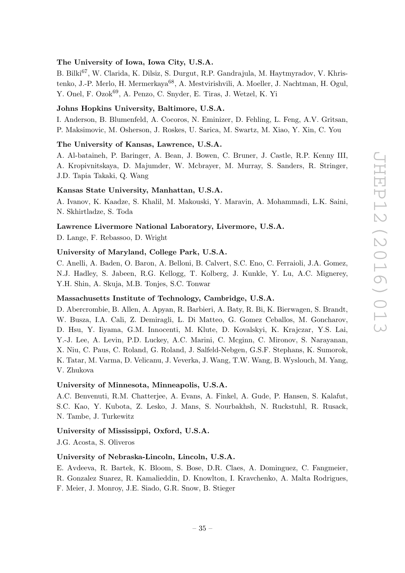### The University of Iowa, Iowa City, U.S.A.

B. Bilki<sup>67</sup>, W. Clarida, K. Dilsiz, S. Durgut, R.P. Gandrajula, M. Haytmyradov, V. Khristenko, J.-P. Merlo, H. Mermerkaya<sup>68</sup>, A. Mestvirishvili, A. Moeller, J. Nachtman, H. Ogul, Y. Onel, F. Ozok<sup>69</sup>, A. Penzo, C. Snyder, E. Tiras, J. Wetzel, K. Yi

### Johns Hopkins University, Baltimore, U.S.A.

I. Anderson, B. Blumenfeld, A. Cocoros, N. Eminizer, D. Fehling, L. Feng, A.V. Gritsan, P. Maksimovic, M. Osherson, J. Roskes, U. Sarica, M. Swartz, M. Xiao, Y. Xin, C. You

## The University of Kansas, Lawrence, U.S.A.

A. Al-bataineh, P. Baringer, A. Bean, J. Bowen, C. Bruner, J. Castle, R.P. Kenny III, A. Kropivnitskaya, D. Majumder, W. Mcbrayer, M. Murray, S. Sanders, R. Stringer, J.D. Tapia Takaki, Q. Wang

### Kansas State University, Manhattan, U.S.A.

A. Ivanov, K. Kaadze, S. Khalil, M. Makouski, Y. Maravin, A. Mohammadi, L.K. Saini, N. Skhirtladze, S. Toda

## Lawrence Livermore National Laboratory, Livermore, U.S.A.

D. Lange, F. Rebassoo, D. Wright

## University of Maryland, College Park, U.S.A.

C. Anelli, A. Baden, O. Baron, A. Belloni, B. Calvert, S.C. Eno, C. Ferraioli, J.A. Gomez, N.J. Hadley, S. Jabeen, R.G. Kellogg, T. Kolberg, J. Kunkle, Y. Lu, A.C. Mignerey, Y.H. Shin, A. Skuja, M.B. Tonjes, S.C. Tonwar

## Massachusetts Institute of Technology, Cambridge, U.S.A.

D. Abercrombie, B. Allen, A. Apyan, R. Barbieri, A. Baty, R. Bi, K. Bierwagen, S. Brandt, W. Busza, I.A. Cali, Z. Demiragli, L. Di Matteo, G. Gomez Ceballos, M. Goncharov, D. Hsu, Y. Iiyama, G.M. Innocenti, M. Klute, D. Kovalskyi, K. Krajczar, Y.S. Lai, Y.-J. Lee, A. Levin, P.D. Luckey, A.C. Marini, C. Mcginn, C. Mironov, S. Narayanan, X. Niu, C. Paus, C. Roland, G. Roland, J. Salfeld-Nebgen, G.S.F. Stephans, K. Sumorok, K. Tatar, M. Varma, D. Velicanu, J. Veverka, J. Wang, T.W. Wang, B. Wyslouch, M. Yang, V. Zhukova

#### University of Minnesota, Minneapolis, U.S.A.

A.C. Benvenuti, R.M. Chatterjee, A. Evans, A. Finkel, A. Gude, P. Hansen, S. Kalafut, S.C. Kao, Y. Kubota, Z. Lesko, J. Mans, S. Nourbakhsh, N. Ruckstuhl, R. Rusack, N. Tambe, J. Turkewitz

#### University of Mississippi, Oxford, U.S.A.

J.G. Acosta, S. Oliveros

## University of Nebraska-Lincoln, Lincoln, U.S.A.

E. Avdeeva, R. Bartek, K. Bloom, S. Bose, D.R. Claes, A. Dominguez, C. Fangmeier, R. Gonzalez Suarez, R. Kamalieddin, D. Knowlton, I. Kravchenko, A. Malta Rodrigues,

F. Meier, J. Monroy, J.E. Siado, G.R. Snow, B. Stieger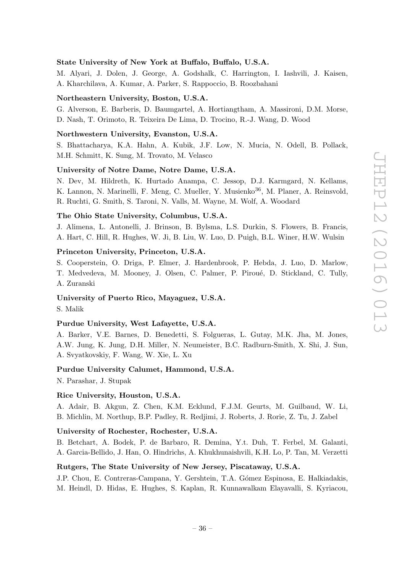#### State University of New York at Buffalo, Buffalo, U.S.A.

M. Alyari, J. Dolen, J. George, A. Godshalk, C. Harrington, I. Iashvili, J. Kaisen, A. Kharchilava, A. Kumar, A. Parker, S. Rappoccio, B. Roozbahani

#### Northeastern University, Boston, U.S.A.

G. Alverson, E. Barberis, D. Baumgartel, A. Hortiangtham, A. Massironi, D.M. Morse, D. Nash, T. Orimoto, R. Teixeira De Lima, D. Trocino, R.-J. Wang, D. Wood

#### Northwestern University, Evanston, U.S.A.

S. Bhattacharya, K.A. Hahn, A. Kubik, J.F. Low, N. Mucia, N. Odell, B. Pollack, M.H. Schmitt, K. Sung, M. Trovato, M. Velasco

#### University of Notre Dame, Notre Dame, U.S.A.

N. Dev, M. Hildreth, K. Hurtado Anampa, C. Jessop, D.J. Karmgard, N. Kellams, K. Lannon, N. Marinelli, F. Meng, C. Mueller, Y. Musienko<sup>36</sup>, M. Planer, A. Reinsvold, R. Ruchti, G. Smith, S. Taroni, N. Valls, M. Wayne, M. Wolf, A. Woodard

### The Ohio State University, Columbus, U.S.A.

J. Alimena, L. Antonelli, J. Brinson, B. Bylsma, L.S. Durkin, S. Flowers, B. Francis, A. Hart, C. Hill, R. Hughes, W. Ji, B. Liu, W. Luo, D. Puigh, B.L. Winer, H.W. Wulsin

#### Princeton University, Princeton, U.S.A.

S. Cooperstein, O. Driga, P. Elmer, J. Hardenbrook, P. Hebda, J. Luo, D. Marlow, T. Medvedeva, M. Mooney, J. Olsen, C. Palmer, P. Piroué, D. Stickland, C. Tully, A. Zuranski

#### University of Puerto Rico, Mayaguez, U.S.A.

S. Malik

## Purdue University, West Lafayette, U.S.A.

A. Barker, V.E. Barnes, D. Benedetti, S. Folgueras, L. Gutay, M.K. Jha, M. Jones, A.W. Jung, K. Jung, D.H. Miller, N. Neumeister, B.C. Radburn-Smith, X. Shi, J. Sun, A. Svyatkovskiy, F. Wang, W. Xie, L. Xu

#### Purdue University Calumet, Hammond, U.S.A.

N. Parashar, J. Stupak

#### Rice University, Houston, U.S.A.

A. Adair, B. Akgun, Z. Chen, K.M. Ecklund, F.J.M. Geurts, M. Guilbaud, W. Li, B. Michlin, M. Northup, B.P. Padley, R. Redjimi, J. Roberts, J. Rorie, Z. Tu, J. Zabel

## University of Rochester, Rochester, U.S.A.

B. Betchart, A. Bodek, P. de Barbaro, R. Demina, Y.t. Duh, T. Ferbel, M. Galanti, A. Garcia-Bellido, J. Han, O. Hindrichs, A. Khukhunaishvili, K.H. Lo, P. Tan, M. Verzetti

#### Rutgers, The State University of New Jersey, Piscataway, U.S.A.

J.P. Chou, E. Contreras-Campana, Y. Gershtein, T.A. Gómez Espinosa, E. Halkiadakis, M. Heindl, D. Hidas, E. Hughes, S. Kaplan, R. Kunnawalkam Elayavalli, S. Kyriacou,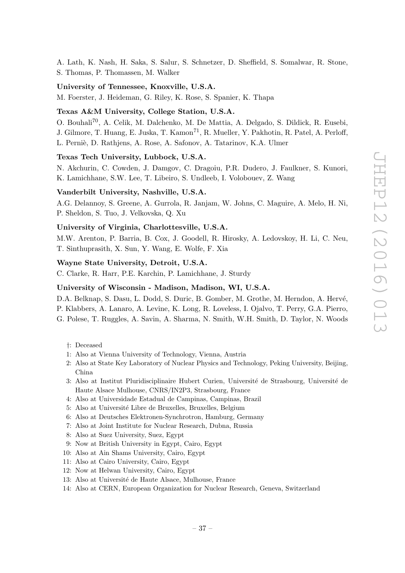A. Lath, K. Nash, H. Saka, S. Salur, S. Schnetzer, D. Sheffield, S. Somalwar, R. Stone, S. Thomas, P. Thomassen, M. Walker

#### University of Tennessee, Knoxville, U.S.A.

M. Foerster, J. Heideman, G. Riley, K. Rose, S. Spanier, K. Thapa

#### Texas A&M University, College Station, U.S.A.

O. Bouhali70, A. Celik, M. Dalchenko, M. De Mattia, A. Delgado, S. Dildick, R. Eusebi, J. Gilmore, T. Huang, E. Juska, T. Kamon<sup>71</sup>, R. Mueller, Y. Pakhotin, R. Patel, A. Perloff, L. Perniè, D. Rathjens, A. Rose, A. Safonov, A. Tatarinov, K.A. Ulmer

#### Texas Tech University, Lubbock, U.S.A.

N. Akchurin, C. Cowden, J. Damgov, C. Dragoiu, P.R. Dudero, J. Faulkner, S. Kunori, K. Lamichhane, S.W. Lee, T. Libeiro, S. Undleeb, I. Volobouev, Z. Wang

#### Vanderbilt University, Nashville, U.S.A.

A.G. Delannoy, S. Greene, A. Gurrola, R. Janjam, W. Johns, C. Maguire, A. Melo, H. Ni, P. Sheldon, S. Tuo, J. Velkovska, Q. Xu

## University of Virginia, Charlottesville, U.S.A.

M.W. Arenton, P. Barria, B. Cox, J. Goodell, R. Hirosky, A. Ledovskoy, H. Li, C. Neu, T. Sinthuprasith, X. Sun, Y. Wang, E. Wolfe, F. Xia

### Wayne State University, Detroit, U.S.A.

C. Clarke, R. Harr, P.E. Karchin, P. Lamichhane, J. Sturdy

### University of Wisconsin - Madison, Madison, WI, U.S.A.

D.A. Belknap, S. Dasu, L. Dodd, S. Duric, B. Gomber, M. Grothe, M. Herndon, A. Hervé, P. Klabbers, A. Lanaro, A. Levine, K. Long, R. Loveless, I. Ojalvo, T. Perry, G.A. Pierro, G. Polese, T. Ruggles, A. Savin, A. Sharma, N. Smith, W.H. Smith, D. Taylor, N. Woods

- †: Deceased
- 1: Also at Vienna University of Technology, Vienna, Austria
- 2: Also at State Key Laboratory of Nuclear Physics and Technology, Peking University, Beijing, China
- 3: Also at Institut Pluridisciplinaire Hubert Curien, Université de Strasbourg, Université de Haute Alsace Mulhouse, CNRS/IN2P3, Strasbourg, France
- 4: Also at Universidade Estadual de Campinas, Campinas, Brazil
- 5: Also at Université Libre de Bruxelles, Bruxelles, Belgium
- 6: Also at Deutsches Elektronen-Synchrotron, Hamburg, Germany
- 7: Also at Joint Institute for Nuclear Research, Dubna, Russia
- 8: Also at Suez University, Suez, Egypt
- 9: Now at British University in Egypt, Cairo, Egypt
- 10: Also at Ain Shams University, Cairo, Egypt
- 11: Also at Cairo University, Cairo, Egypt
- 12: Now at Helwan University, Cairo, Egypt
- 13: Also at Université de Haute Alsace, Mulhouse, France
- 14: Also at CERN, European Organization for Nuclear Research, Geneva, Switzerland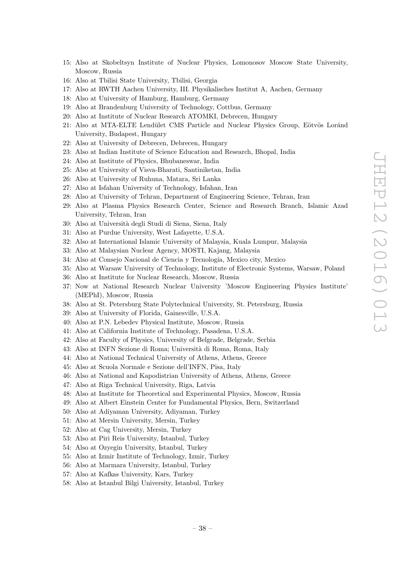- 15: Also at Skobeltsyn Institute of Nuclear Physics, Lomonosov Moscow State University, Moscow, Russia
- 16: Also at Tbilisi State University, Tbilisi, Georgia
- 17: Also at RWTH Aachen University, III. Physikalisches Institut A, Aachen, Germany
- 18: Also at University of Hamburg, Hamburg, Germany
- 19: Also at Brandenburg University of Technology, Cottbus, Germany
- 20: Also at Institute of Nuclear Research ATOMKI, Debrecen, Hungary
- 21: Also at MTA-ELTE Lendület CMS Particle and Nuclear Physics Group, Eötvös Loránd University, Budapest, Hungary
- 22: Also at University of Debrecen, Debrecen, Hungary
- 23: Also at Indian Institute of Science Education and Research, Bhopal, India
- 24: Also at Institute of Physics, Bhubaneswar, India
- 25: Also at University of Visva-Bharati, Santiniketan, India
- 26: Also at University of Ruhuna, Matara, Sri Lanka
- 27: Also at Isfahan University of Technology, Isfahan, Iran
- 28: Also at University of Tehran, Department of Engineering Science, Tehran, Iran
- 29: Also at Plasma Physics Research Center, Science and Research Branch, Islamic Azad University, Tehran, Iran
- 30: Also at Universit`a degli Studi di Siena, Siena, Italy
- 31: Also at Purdue University, West Lafayette, U.S.A.
- 32: Also at International Islamic University of Malaysia, Kuala Lumpur, Malaysia
- 33: Also at Malaysian Nuclear Agency, MOSTI, Kajang, Malaysia
- 34: Also at Consejo Nacional de Ciencia y Tecnología, Mexico city, Mexico
- 35: Also at Warsaw University of Technology, Institute of Electronic Systems, Warsaw, Poland
- 36: Also at Institute for Nuclear Research, Moscow, Russia
- 37: Now at National Research Nuclear University 'Moscow Engineering Physics Institute' (MEPhI), Moscow, Russia
- 38: Also at St. Petersburg State Polytechnical University, St. Petersburg, Russia
- 39: Also at University of Florida, Gainesville, U.S.A.
- 40: Also at P.N. Lebedev Physical Institute, Moscow, Russia
- 41: Also at California Institute of Technology, Pasadena, U.S.A.
- 42: Also at Faculty of Physics, University of Belgrade, Belgrade, Serbia
- 43: Also at INFN Sezione di Roma; Università di Roma, Roma, Italy
- 44: Also at National Technical University of Athens, Athens, Greece
- 45: Also at Scuola Normale e Sezione dell'INFN, Pisa, Italy
- 46: Also at National and Kapodistrian University of Athens, Athens, Greece
- 47: Also at Riga Technical University, Riga, Latvia
- 48: Also at Institute for Theoretical and Experimental Physics, Moscow, Russia
- 49: Also at Albert Einstein Center for Fundamental Physics, Bern, Switzerland
- 50: Also at Adiyaman University, Adiyaman, Turkey
- 51: Also at Mersin University, Mersin, Turkey
- 52: Also at Cag University, Mersin, Turkey
- 53: Also at Piri Reis University, Istanbul, Turkey
- 54: Also at Ozyegin University, Istanbul, Turkey
- 55: Also at Izmir Institute of Technology, Izmir, Turkey
- 56: Also at Marmara University, Istanbul, Turkey
- 57: Also at Kafkas University, Kars, Turkey
- 58: Also at Istanbul Bilgi University, Istanbul, Turkey